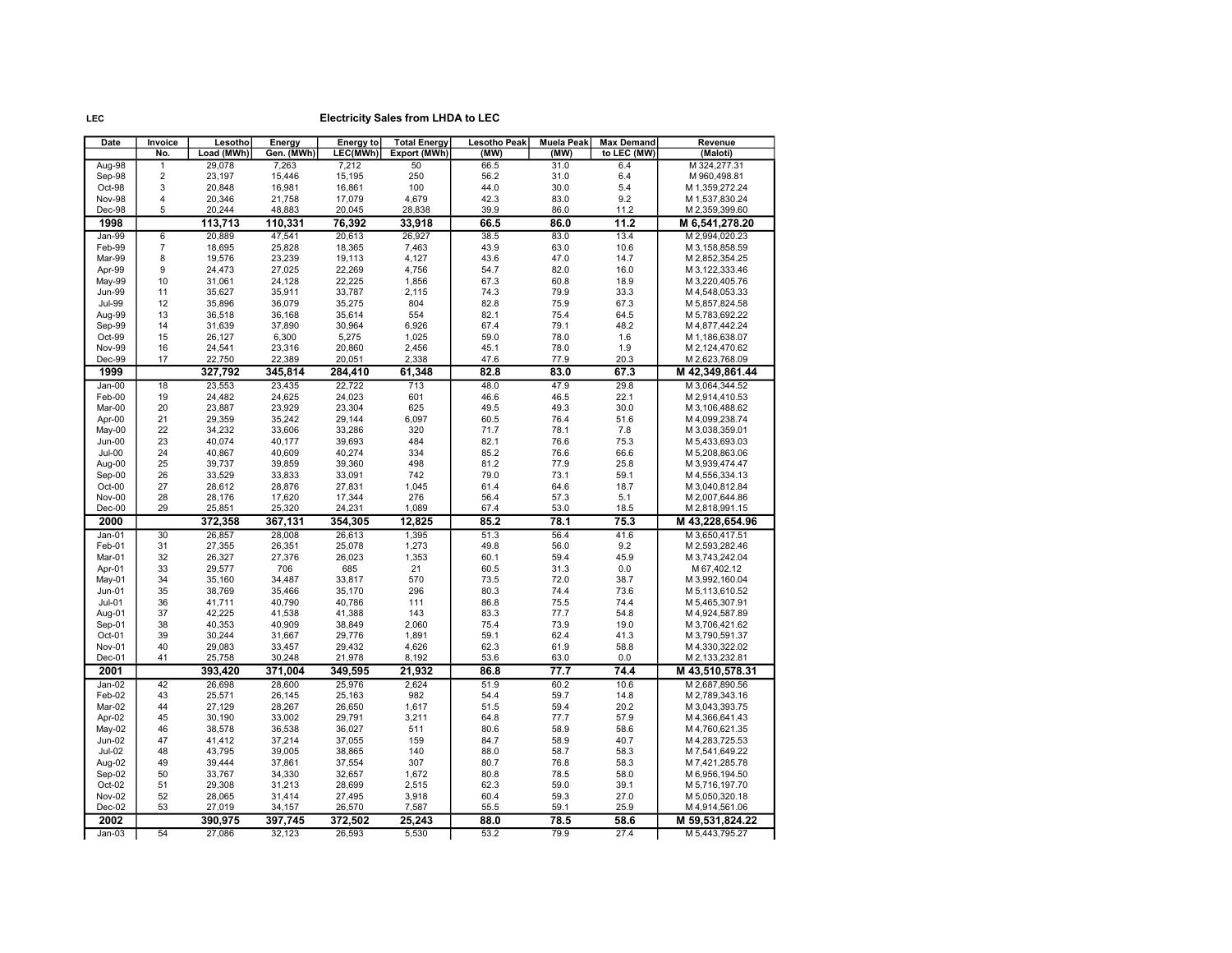| Date                    | Invoice                          | Lesotho          | Energy           | Energy to        | <b>Total Energy</b> | <b>Lesotho Peak</b> | <b>Muela Peak</b> | <b>Max Demand</b> | Revenue                          |
|-------------------------|----------------------------------|------------------|------------------|------------------|---------------------|---------------------|-------------------|-------------------|----------------------------------|
|                         | No.                              | Load (MWh)       | Gen. (MWh)       | LEC(MWh)         | Export (MWh)        | (MW)                | (MW)              | to LEC (MW)       | (Maloti)                         |
| Aug-98                  | $\overline{1}$                   | 29,078           | 7,263            | 7,212            | 50                  | 66.5                | 31.0              | 6.4               | M 324,277.31                     |
| Sep-98                  | $\overline{c}$                   | 23,197           | 15,446           | 15,195           | 250                 | 56.2                | 31.0              | 6.4               | M 960,498.81                     |
| Oct-98                  | 3                                | 20,848           | 16,981           | 16,861           | 100                 | 44.0                | 30.0              | 5.4               | M 1,359,272.24                   |
| <b>Nov-98</b>           | $\overline{4}$<br>5              | 20,346           | 21,758           | 17,079           | 4,679               | 42.3                | 83.0              | 9.2               | M 1,537,830.24                   |
| Dec-98                  |                                  | 20,244           | 48,883           | 20,045           | 28,838              | 39.9                | 86.0              | 11.2              | M 2,359,399.60                   |
| 1998                    |                                  | 113,713          | 110,331          | 76,392           | 33,918              | 66.5                | 86.0              | 11.2              | M 6,541,278.20                   |
| Jan-99                  | $\overline{6}$<br>$\overline{7}$ | 20,889           | 47,541           | 20,613           | 26,927              | 38.5                | 83.0              | 13.4              | M 2,994,020.23                   |
| Feb-99<br>Mar-99        | 8                                | 18,695<br>19,576 | 25,828<br>23,239 | 18,365<br>19,113 | 7,463<br>4,127      | 43.9<br>43.6        | 63.0<br>47.0      | 10.6<br>14.7      | M 3,158,858.59<br>M 2,852,354.25 |
| Apr-99                  | 9                                | 24,473           | 27,025           | 22,269           | 4,756               | 54.7                | 82.0              | 16.0              | M 3, 122, 333.46                 |
| May-99                  | 10                               | 31,061           | 24,128           | 22,225           | 1,856               | 67.3                | 60.8              | 18.9              | M 3,220,405.76                   |
| <b>Jun-99</b>           | 11                               | 35,627           | 35,911           | 33,787           | 2,115               | 74.3                | 79.9              | 33.3              | M 4,548,053.33                   |
| <b>Jul-99</b>           | 12                               | 35,896           | 36,079           | 35,275           | 804                 | 82.8                | 75.9              | 67.3              | M 5,857,824.58                   |
| Aug-99                  | 13                               | 36,518           | 36,168           | 35,614           | 554                 | 82.1                | 75.4              | 64.5              | M 5,783,692.22                   |
| Sep-99                  | 14                               | 31,639           | 37,890           | 30,964           | 6,926               | 67.4                | 79.1              | 48.2              | M 4,877,442.24                   |
| Oct-99                  | 15                               | 26,127           | 6,300            | 5,275            | 1,025               | 59.0                | 78.0              | 1.6               | M 1,186,638.07                   |
| Nov-99                  | 16                               | 24,541           | 23,316           | 20,860           | 2,456               | 45.1                | 78.0              | 1.9               | M 2,124,470.62                   |
| Dec-99                  | 17                               | 22,750           | 22,389           | 20,051           | 2,338               | 47.6                | 77.9              | 20.3              | M 2,623,768.09                   |
| 1999                    |                                  | 327,792          | 345,814          | 284,410          | 61,348              | 82.8                | 83.0              | 67.3              | M 42,349,861.44                  |
| Jan-00                  | 18                               | 23,553           | 23,435           | 22,722           | 713                 | 48.0                | 47.9              | 29.8              | M 3,064,344.52                   |
| Feb-00                  | 19                               | 24,482           | 24,625           | 24,023           | 601                 | 46.6                | 46.5              | 22.1              | M 2,914,410.53                   |
| Mar-00                  | 20                               | 23,887           | 23,929           | 23,304           | 625                 | 49.5                | 49.3              | 30.0              | M 3,106,488.62                   |
| Apr-00                  | 21<br>22                         | 29,359           | 35,242<br>33,606 | 29,144<br>33,286 | 6,097<br>320        | 60.5<br>71.7        | 76.4<br>78.1      | 51.6<br>7.8       | M4,099,238.74                    |
| May-00<br>Jun-00        | 23                               | 34,232<br>40,074 | 40,177           | 39,693           | 484                 | 82.1                | 76.6              | 75.3              | M 3,038,359.01<br>M 5,433,693.03 |
| Jul-00                  | 24                               | 40,867           | 40,609           | 40,274           | 334                 | 85.2                | 76.6              | 66.6              | M 5,208,863.06                   |
| Aug-00                  | 25                               | 39,737           | 39,859           | 39,360           | 498                 | 81.2                | 77.9              | 25.8              | M 3,939,474.47                   |
| Sep-00                  | 26                               | 33,529           | 33,833           | 33,091           | 742                 | 79.0                | 73.1              | 59.1              | M4,556,334.13                    |
| Oct-00                  | 27                               | 28,612           | 28,876           | 27,831           | 1,045               | 61.4                | 64.6              | 18.7              | M 3,040,812.84                   |
| Nov-00                  | 28                               | 28,176           | 17,620           | 17,344           | 276                 | 56.4                | 57.3              | 5.1               | M 2,007,644.86                   |
| $Dec-00$                | 29                               | 25,851           | 25,320           | 24,231           | 1,089               | 67.4                | 53.0              | 18.5              | M 2,818,991.15                   |
| 2000                    |                                  | 372,358          | 367,131          | 354,305          | 12,825              | 85.2                | 78.1              | 75.3              | M 43,228,654.96                  |
| $Jan-01$                | 30                               | 26,857           | 28,008           | 26,613           | 1,395               | 51.3                | 56.4              | 41.6              | M 3,650,417.51                   |
| Feb-01                  | 31                               | 27,355           | 26,351           | 25,078           | 1,273               | 49.8                | 56.0              | 9.2               | M 2,593,282.46                   |
| Mar-01                  | 32                               | 26,327           | 27,376           | 26,023           | 1,353               | 60.1                | 59.4              | 45.9              | M 3,743,242.04                   |
| Apr-01                  | 33                               | 29,577           | 706              | 685              | 21                  | 60.5                | 31.3              | 0.0               | M 67,402.12                      |
| May-01                  | 34                               | 35,160           | 34,487           | 33,817           | 570                 | 73.5                | 72.0              | 38.7              | M 3,992,160.04                   |
| $Jun-01$                | 35<br>36                         | 38,769           | 35,466           | 35,170           | 296<br>111          | 80.3                | 74.4              | 73.6              | M 5,113,610.52                   |
| $Jul-01$<br>Aug-01      | 37                               | 41,711<br>42,225 | 40,790<br>41,538 | 40,786<br>41,388 | 143                 | 86.8<br>83.3        | 75.5<br>77.7      | 74.4<br>54.8      | M 5,465,307.91<br>M 4,924,587.89 |
| Sep-01                  | 38                               | 40,353           | 40,909           | 38,849           | 2,060               | 75.4                | 73.9              | 19.0              | M 3,706,421.62                   |
| Oct-01                  | 39                               | 30,244           | 31,667           | 29,776           | 1,891               | 59.1                | 62.4              | 41.3              | M 3,790,591.37                   |
| Nov-01                  | 40                               | 29,083           | 33,457           | 29,432           | 4,626               | 62.3                | 61.9              | 58.8              | M 4,330,322.02                   |
| Dec-01                  | 41                               | 25,758           | 30,248           | 21,978           | 8,192               | 53.6                | 63.0              | 0.0               | M 2,133,232.81                   |
| 2001                    |                                  | 393,420          | 371,004          | 349,595          | 21,932              | 86.8                | 77.7              | 74.4              | M 43,510,578.31                  |
| Jan-02                  | 42                               | 26,698           | 28,600           | 25,976           | 2.624               | 51.9                | 60.2              | 10.6              | M 2,687,890.56                   |
| Feb-02                  | 43                               | 25,571           | 26,145           | 25,163           | 982                 | 54.4                | 59.7              | 14.8              | M 2,789,343.16                   |
| Mar-02                  | 44                               | 27,129           | 28,267           | 26,650           | 1,617               | 51.5                | 59.4              | 20.2              | M 3,043,393.75                   |
| Apr-02                  | 45                               | 30,190           | 33,002           | 29,791           | 3,211               | 64.8                | 77.7              | 57.9              | M 4,366,641.43                   |
| May-02                  | 46                               | 38,578           | 36,538           | 36,027           | 511                 | 80.6                | 58.9              | 58.6              | M 4,760,621.35                   |
| Jun-02                  | 47                               | 41,412           | 37,214           | 37,055           | 159                 | 84.7                | 58.9              | 40.7              | M 4,283,725.53                   |
| <b>Jul-02</b><br>Aug-02 | 48<br>49                         | 43,795<br>39,444 | 39,005<br>37,861 | 38,865<br>37,554 | 140<br>307          | 88.0<br>80.7        | 58.7<br>76.8      | 58.3<br>58.3      | M 7,541,649.22<br>M 7,421,285.78 |
| Sep-02                  | 50                               | 33,767           | 34,330           | 32,657           | 1,672               | 80.8                | 78.5              | 58.0              | M 6,956,194.50                   |
| Oct-02                  | 51                               | 29,308           | 31,213           | 28,699           | 2,515               | 62.3                | 59.0              | 39.1              | M 5,716,197.70                   |
| Nov-02                  | 52                               | 28,065           | 31,414           | 27,495           | 3,918               | 60.4                | 59.3              | 27.0              | M 5,050,320.18                   |
| $Dec-02$                | 53                               | 27,019           | 34,157           | 26,570           | 7,587               | 55.5                | 59.1              | 25.9              | M4,914,561.06                    |
| 2002                    |                                  | 390,975          | 397,745          | 372,502          | 25,243              | 88.0                | 78.5              | 58.6              | M 59,531,824.22                  |
| $Jan-03$                | 54                               | 27.086           | 32.123           | 26.593           | 5.530               | 53.2                | 79.9              | 27.4              | M 5.443.795.27                   |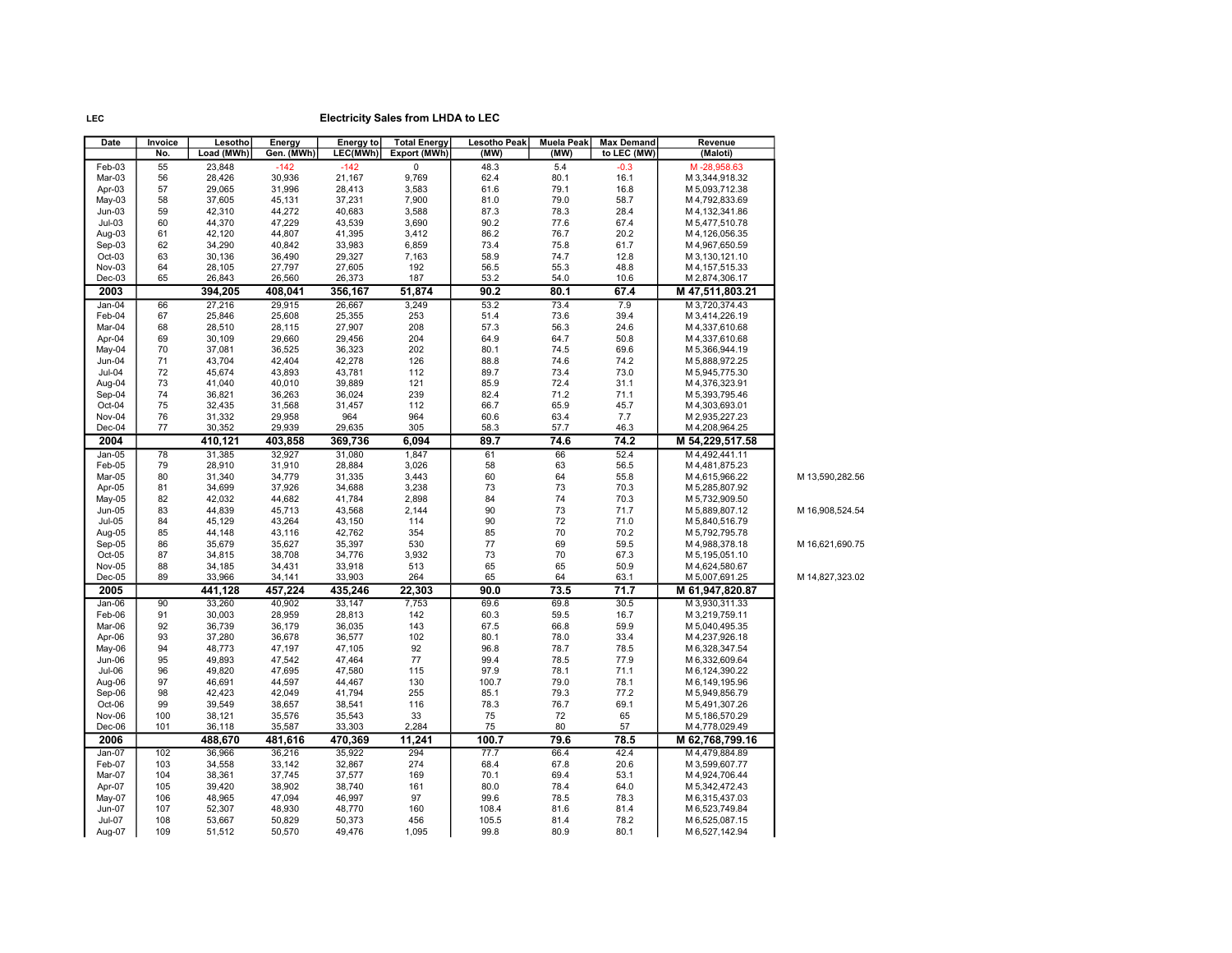| LEC(MWh)<br>Load (MWh)<br>Gen. (MWh)<br>Export (MWh)<br>(MW)<br>(MW)<br>to LEC (MW)<br>No.<br>(Maloti)<br>Feb-03<br>$-142$<br>$-142$<br>$\mathbf 0$<br>48.3<br>5.4<br>55<br>23,848<br>$-0.3$<br>M-28,958.63<br>Mar-03<br>56<br>28,426<br>30,936<br>21,167<br>9,769<br>62.4<br>80.1<br>16.1<br>M 3,344,918.32<br>61.6<br>57<br>29,065<br>31,996<br>28,413<br>3,583<br>79.1<br>Apr-03<br>16.8<br>M 5,093,712.38<br>79.0<br>May-03<br>37,605<br>37,231<br>7,900<br>81.0<br>58.7<br>58<br>45,131<br>M 4,792,833.69<br>87.3<br>$Jun-03$<br>59<br>42,310<br>44,272<br>40,683<br>3,588<br>78.3<br>28.4<br>M 4, 132, 341.86<br>$Jul-03$<br>44,370<br>47,229<br>43,539<br>3,690<br>90.2<br>77.6<br>60<br>67.4<br>M 5,477,510.78<br>86.2<br>41,395<br>76.7<br>Aug-03<br>61<br>42,120<br>44,807<br>3,412<br>20.2<br>M 4,126,056.35<br>$Sep-03$<br>62<br>34,290<br>40,842<br>33,983<br>6,859<br>73.4<br>75.8<br>61.7<br>M 4,967,650.59<br>29,327<br>58.9<br>Oct-03<br>63<br>30,136<br>36,490<br>7,163<br>74.7<br>12.8<br>M 3,130,121.10<br>64<br>27,797<br>27,605<br>192<br>56.5<br>55.3<br>Nov-03<br>28,105<br>48.8<br>M 4, 157, 515.33<br>$Dec-03$<br>65<br>53.2<br>26,843<br>26,560<br>26,373<br>187<br>54.0<br>10.6<br>M 2,874,306.17<br>90.2<br>2003<br>394,205<br>408,041<br>356,167<br>51,874<br>80.1<br>67.4<br>M 47,511,803.21<br>27,216<br>29,915<br>3,249<br>53.2<br>73.4<br>7.9<br>$Jan-04$<br>66<br>26,667<br>M 3,720,374.43<br>Feb-04<br>67<br>25,846<br>25,608<br>25,355<br>253<br>51.4<br>73.6<br>39.4<br>M 3,414,226.19<br>27,907<br>208<br>57.3<br>Mar-04<br>68<br>28,510<br>28,115<br>56.3<br>24.6<br>M 4,337,610.68<br>204<br>64.9<br>Apr-04<br>69<br>30,109<br>29,660<br>29,456<br>64.7<br>50.8<br>M4,337,610.68<br>70<br>202<br>80.1<br>May-04<br>37,081<br>36,525<br>36,323<br>74.5<br>69.6<br>M 5,366,944.19<br>Jun-04<br>71<br>43,704<br>42,404<br>42,278<br>126<br>88.8<br>74.6<br>74.2<br>M 5,888,972.25<br>Jul-04<br>72<br>45,674<br>43,893<br>43,781<br>112<br>89.7<br>73.4<br>73.0<br>M 5,945,775.30<br>Aug-04<br>73<br>41,040<br>40,010<br>39,889<br>121<br>85.9<br>72.4<br>31.1<br>M4,376,323.91<br>74<br>36,024<br>239<br>82.4<br>71.2<br>Sep-04<br>36,821<br>36,263<br>71.1<br>M 5,393,795.46<br>Oct-04<br>75<br>32,435<br>31,568<br>31,457<br>112<br>66.7<br>65.9<br>45.7<br>M4,303,693.01<br>Nov-04<br>76<br>31,332<br>29,958<br>964<br>964<br>60.6<br>63.4<br>7.7<br>M 2,935,227.23<br>77<br>29,635<br>57.7<br>Dec-04<br>30,352<br>29,939<br>305<br>58.3<br>46.3<br>M 4,208,964.25<br>2004<br>410,121<br>403,858<br>369,736<br>6,094<br>89.7<br>74.6<br>74.2<br>M 54,229,517.58<br>31,385<br>31,080<br>1.847<br>61<br>66<br>52.4<br>$Jan-05$<br>78<br>32,927<br>M4.492.441.11<br>79<br>28,910<br>31,910<br>28,884<br>3,026<br>58<br>63<br>56.5<br>Feb-05<br>M 4,481,875.23<br>Mar-05<br>80<br>31,340<br>34,779<br>31,335<br>3,443<br>60<br>64<br>55.8<br>M 4,615,966.22<br>73<br>Apr-05<br>81<br>34,699<br>37,926<br>34,688<br>3,238<br>73<br>70.3<br>M 5,285,807.92<br>74<br>82<br>42,032<br>44,682<br>41,784<br>2,898<br>84<br>70.3<br>M 5,732,909.50<br>May-05<br>90<br>73<br><b>Jun-05</b><br>83<br>44,839<br>45,713<br>43,568<br>2,144<br>71.7<br>M 5,889,807.12<br><b>Jul-05</b><br>45,129<br>43,264<br>43,150<br>114<br>90<br>72<br>71.0<br>84<br>M 5,840,516.79<br>70<br>Aug-05<br>85<br>44,148<br>43,116<br>42,762<br>354<br>85<br>70.2<br>M 5,792,795.78<br>530<br>77<br>69<br>Sep-05<br>86<br>35,679<br>35,627<br>35,397<br>59.5<br>M 4,988,378.18<br>Oct-05<br>87<br>34,815<br>38,708<br>34,776<br>3,932<br>73<br>70<br>67.3<br>M 5,195,051.10<br>Nov-05<br>88<br>34,185<br>34,431<br>33,918<br>513<br>65<br>65<br>50.9<br>M 4,624,580.67<br>$Dec-05$<br>89<br>33,966<br>34,141<br>33,903<br>264<br>65<br>64<br>63.1<br>M 5,007,691.25<br>441,128<br>457,224<br>435,246<br>22,303<br>90.0<br>73.5<br>71.7<br>2005<br>M 61,947,820.87<br>90<br>33,260<br>33,147<br>7,753<br>69.6<br>69.8<br>30.5<br>$Jan-06$<br>40,902<br>M 3,930,311.33<br>Feb-06<br>91<br>30,003<br>28,959<br>28,813<br>142<br>60.3<br>59.5<br>16.7<br>M 3,219,759.11<br>36,739<br>67.5<br>59.9<br>Mar-06<br>92<br>36,179<br>36,035<br>143<br>66.8<br>M 5,040,495.35<br>93<br>37,280<br>36,678<br>102<br>80.1<br>78.0<br>33.4<br>Apr-06<br>36,577<br>M 4,237,926.18<br>92<br>96.8<br>78.7<br>May-06<br>94<br>48,773<br>47,197<br>47,105<br>78.5<br>M 6,328,347.54<br>77<br>78.5<br><b>Jun-06</b><br>95<br>49,893<br>47,542<br>47,464<br>99.4<br>77.9<br>M 6,332,609.64<br>47,695<br>97.9<br>Jul-06<br>96<br>49,820<br>47,580<br>115<br>78.1<br>71.1<br>M 6, 124, 390.22<br>44,597<br>100.7<br>Aug-06<br>97<br>46,691<br>44,467<br>130<br>79.0<br>78.1<br>M 6, 149, 195.96<br>41,794<br>255<br>85.1<br>79.3<br>77.2<br>Sep-06<br>98<br>42,423<br>42,049<br>M 5,949,856.79<br>99<br>69.1<br>Oct-06<br>39,549<br>38,657<br>38,541<br>116<br>78.3<br>76.7<br>M 5,491,307.26<br>75<br>Nov-06<br>100<br>38,121<br>35,576<br>35,543<br>33<br>72<br>65<br>M 5,186,570.29<br>75<br>35,587<br>33,303<br>2,284<br>80<br>57<br>Dec-06<br>101<br>36,118<br>M 4,778,029.49<br>100.7<br>79.6<br>78.5<br>2006<br>488.670<br>481.616<br>470,369<br>11,241<br>M 62.768.799.16<br>294<br>66.4<br>42.4<br>36,966<br>36,216<br>35,922<br>77.7<br>$Jan-07$<br>102<br>M 4,479,884.89<br>34,558<br>33,142<br>32,867<br>274<br>68.4<br>67.8<br>20.6<br>Feb-07<br>103<br>M 3,599,607.77<br>38,361<br>37,745<br>169<br>70.1<br>69.4<br>53.1<br>Mar-07<br>104<br>37,577<br>M 4,924,706.44<br>Apr-07<br>105<br>39,420<br>38,902<br>38,740<br>161<br>80.0<br>78.4<br>64.0<br>M 5,342,472.43<br>May-07<br>106<br>48,965<br>47,094<br>46,997<br>97<br>99.6<br>78.5<br>78.3<br>M 6,315,437.03<br>108.4<br>Jun-07<br>107<br>52,307<br>48,930<br>48,770<br>160<br>81.6<br>81.4<br>M 6,523,749.84<br>105.5<br>53,667<br>50,829<br>50,373<br>456<br>81.4<br>78.2<br>Jul-07<br>108<br>M 6,525,087.15<br>Aug-07<br>109<br>51,512<br>50,570<br>49,476<br>1,095<br>99.8<br>80.9<br>80.1<br>M 6,527,142.94 | Date | Invoice | Lesotho | Energy | Energy to | <b>Total Energy</b> | Lesotho Peak | <b>Muela Peak</b> | <b>Max Demand</b> | Revenue |  |
|------------------------------------------------------------------------------------------------------------------------------------------------------------------------------------------------------------------------------------------------------------------------------------------------------------------------------------------------------------------------------------------------------------------------------------------------------------------------------------------------------------------------------------------------------------------------------------------------------------------------------------------------------------------------------------------------------------------------------------------------------------------------------------------------------------------------------------------------------------------------------------------------------------------------------------------------------------------------------------------------------------------------------------------------------------------------------------------------------------------------------------------------------------------------------------------------------------------------------------------------------------------------------------------------------------------------------------------------------------------------------------------------------------------------------------------------------------------------------------------------------------------------------------------------------------------------------------------------------------------------------------------------------------------------------------------------------------------------------------------------------------------------------------------------------------------------------------------------------------------------------------------------------------------------------------------------------------------------------------------------------------------------------------------------------------------------------------------------------------------------------------------------------------------------------------------------------------------------------------------------------------------------------------------------------------------------------------------------------------------------------------------------------------------------------------------------------------------------------------------------------------------------------------------------------------------------------------------------------------------------------------------------------------------------------------------------------------------------------------------------------------------------------------------------------------------------------------------------------------------------------------------------------------------------------------------------------------------------------------------------------------------------------------------------------------------------------------------------------------------------------------------------------------------------------------------------------------------------------------------------------------------------------------------------------------------------------------------------------------------------------------------------------------------------------------------------------------------------------------------------------------------------------------------------------------------------------------------------------------------------------------------------------------------------------------------------------------------------------------------------------------------------------------------------------------------------------------------------------------------------------------------------------------------------------------------------------------------------------------------------------------------------------------------------------------------------------------------------------------------------------------------------------------------------------------------------------------------------------------------------------------------------------------------------------------------------------------------------------------------------------------------------------------------------------------------------------------------------------------------------------------------------------------------------------------------------------------------------------------------------------------------------------------------------------------------------------------------------------------------------------------------------------------------------------------------------------------------------------------------------------------------------------------------------------------------------------------------------------------------------------------------------------------------------------------------------------------------------------------------------------------------------------------------------------------------------------------------------------------------------------------------------------------------------------------------------------------------------------------------------------------------------------------------------------------------------------------------------------------------------------------------------------------------------------------------------------------------------------------------------------------------------------------------------------------------------------------------------------------------------------------------------------------------------------------------------------------------------------------------------------------------------------------------------------------------------------------------------|------|---------|---------|--------|-----------|---------------------|--------------|-------------------|-------------------|---------|--|
|                                                                                                                                                                                                                                                                                                                                                                                                                                                                                                                                                                                                                                                                                                                                                                                                                                                                                                                                                                                                                                                                                                                                                                                                                                                                                                                                                                                                                                                                                                                                                                                                                                                                                                                                                                                                                                                                                                                                                                                                                                                                                                                                                                                                                                                                                                                                                                                                                                                                                                                                                                                                                                                                                                                                                                                                                                                                                                                                                                                                                                                                                                                                                                                                                                                                                                                                                                                                                                                                                                                                                                                                                                                                                                                                                                                                                                                                                                                                                                                                                                                                                                                                                                                                                                                                                                                                                                                                                                                                                                                                                                                                                                                                                                                                                                                                                                                                                                                                                                                                                                                                                                                                                                                                                                                                                                                                                                                                                                                                                                                                                                                                                                                                                                                                                                                                                                                                                                                                                                        |      |         |         |        |           |                     |              |                   |                   |         |  |
|                                                                                                                                                                                                                                                                                                                                                                                                                                                                                                                                                                                                                                                                                                                                                                                                                                                                                                                                                                                                                                                                                                                                                                                                                                                                                                                                                                                                                                                                                                                                                                                                                                                                                                                                                                                                                                                                                                                                                                                                                                                                                                                                                                                                                                                                                                                                                                                                                                                                                                                                                                                                                                                                                                                                                                                                                                                                                                                                                                                                                                                                                                                                                                                                                                                                                                                                                                                                                                                                                                                                                                                                                                                                                                                                                                                                                                                                                                                                                                                                                                                                                                                                                                                                                                                                                                                                                                                                                                                                                                                                                                                                                                                                                                                                                                                                                                                                                                                                                                                                                                                                                                                                                                                                                                                                                                                                                                                                                                                                                                                                                                                                                                                                                                                                                                                                                                                                                                                                                                        |      |         |         |        |           |                     |              |                   |                   |         |  |
|                                                                                                                                                                                                                                                                                                                                                                                                                                                                                                                                                                                                                                                                                                                                                                                                                                                                                                                                                                                                                                                                                                                                                                                                                                                                                                                                                                                                                                                                                                                                                                                                                                                                                                                                                                                                                                                                                                                                                                                                                                                                                                                                                                                                                                                                                                                                                                                                                                                                                                                                                                                                                                                                                                                                                                                                                                                                                                                                                                                                                                                                                                                                                                                                                                                                                                                                                                                                                                                                                                                                                                                                                                                                                                                                                                                                                                                                                                                                                                                                                                                                                                                                                                                                                                                                                                                                                                                                                                                                                                                                                                                                                                                                                                                                                                                                                                                                                                                                                                                                                                                                                                                                                                                                                                                                                                                                                                                                                                                                                                                                                                                                                                                                                                                                                                                                                                                                                                                                                                        |      |         |         |        |           |                     |              |                   |                   |         |  |
|                                                                                                                                                                                                                                                                                                                                                                                                                                                                                                                                                                                                                                                                                                                                                                                                                                                                                                                                                                                                                                                                                                                                                                                                                                                                                                                                                                                                                                                                                                                                                                                                                                                                                                                                                                                                                                                                                                                                                                                                                                                                                                                                                                                                                                                                                                                                                                                                                                                                                                                                                                                                                                                                                                                                                                                                                                                                                                                                                                                                                                                                                                                                                                                                                                                                                                                                                                                                                                                                                                                                                                                                                                                                                                                                                                                                                                                                                                                                                                                                                                                                                                                                                                                                                                                                                                                                                                                                                                                                                                                                                                                                                                                                                                                                                                                                                                                                                                                                                                                                                                                                                                                                                                                                                                                                                                                                                                                                                                                                                                                                                                                                                                                                                                                                                                                                                                                                                                                                                                        |      |         |         |        |           |                     |              |                   |                   |         |  |
|                                                                                                                                                                                                                                                                                                                                                                                                                                                                                                                                                                                                                                                                                                                                                                                                                                                                                                                                                                                                                                                                                                                                                                                                                                                                                                                                                                                                                                                                                                                                                                                                                                                                                                                                                                                                                                                                                                                                                                                                                                                                                                                                                                                                                                                                                                                                                                                                                                                                                                                                                                                                                                                                                                                                                                                                                                                                                                                                                                                                                                                                                                                                                                                                                                                                                                                                                                                                                                                                                                                                                                                                                                                                                                                                                                                                                                                                                                                                                                                                                                                                                                                                                                                                                                                                                                                                                                                                                                                                                                                                                                                                                                                                                                                                                                                                                                                                                                                                                                                                                                                                                                                                                                                                                                                                                                                                                                                                                                                                                                                                                                                                                                                                                                                                                                                                                                                                                                                                                                        |      |         |         |        |           |                     |              |                   |                   |         |  |
|                                                                                                                                                                                                                                                                                                                                                                                                                                                                                                                                                                                                                                                                                                                                                                                                                                                                                                                                                                                                                                                                                                                                                                                                                                                                                                                                                                                                                                                                                                                                                                                                                                                                                                                                                                                                                                                                                                                                                                                                                                                                                                                                                                                                                                                                                                                                                                                                                                                                                                                                                                                                                                                                                                                                                                                                                                                                                                                                                                                                                                                                                                                                                                                                                                                                                                                                                                                                                                                                                                                                                                                                                                                                                                                                                                                                                                                                                                                                                                                                                                                                                                                                                                                                                                                                                                                                                                                                                                                                                                                                                                                                                                                                                                                                                                                                                                                                                                                                                                                                                                                                                                                                                                                                                                                                                                                                                                                                                                                                                                                                                                                                                                                                                                                                                                                                                                                                                                                                                                        |      |         |         |        |           |                     |              |                   |                   |         |  |
|                                                                                                                                                                                                                                                                                                                                                                                                                                                                                                                                                                                                                                                                                                                                                                                                                                                                                                                                                                                                                                                                                                                                                                                                                                                                                                                                                                                                                                                                                                                                                                                                                                                                                                                                                                                                                                                                                                                                                                                                                                                                                                                                                                                                                                                                                                                                                                                                                                                                                                                                                                                                                                                                                                                                                                                                                                                                                                                                                                                                                                                                                                                                                                                                                                                                                                                                                                                                                                                                                                                                                                                                                                                                                                                                                                                                                                                                                                                                                                                                                                                                                                                                                                                                                                                                                                                                                                                                                                                                                                                                                                                                                                                                                                                                                                                                                                                                                                                                                                                                                                                                                                                                                                                                                                                                                                                                                                                                                                                                                                                                                                                                                                                                                                                                                                                                                                                                                                                                                                        |      |         |         |        |           |                     |              |                   |                   |         |  |
|                                                                                                                                                                                                                                                                                                                                                                                                                                                                                                                                                                                                                                                                                                                                                                                                                                                                                                                                                                                                                                                                                                                                                                                                                                                                                                                                                                                                                                                                                                                                                                                                                                                                                                                                                                                                                                                                                                                                                                                                                                                                                                                                                                                                                                                                                                                                                                                                                                                                                                                                                                                                                                                                                                                                                                                                                                                                                                                                                                                                                                                                                                                                                                                                                                                                                                                                                                                                                                                                                                                                                                                                                                                                                                                                                                                                                                                                                                                                                                                                                                                                                                                                                                                                                                                                                                                                                                                                                                                                                                                                                                                                                                                                                                                                                                                                                                                                                                                                                                                                                                                                                                                                                                                                                                                                                                                                                                                                                                                                                                                                                                                                                                                                                                                                                                                                                                                                                                                                                                        |      |         |         |        |           |                     |              |                   |                   |         |  |
| M 13,590,282.56<br>M 16,908,524.54<br>M 16,621,690.75<br>M 14,827,323.02                                                                                                                                                                                                                                                                                                                                                                                                                                                                                                                                                                                                                                                                                                                                                                                                                                                                                                                                                                                                                                                                                                                                                                                                                                                                                                                                                                                                                                                                                                                                                                                                                                                                                                                                                                                                                                                                                                                                                                                                                                                                                                                                                                                                                                                                                                                                                                                                                                                                                                                                                                                                                                                                                                                                                                                                                                                                                                                                                                                                                                                                                                                                                                                                                                                                                                                                                                                                                                                                                                                                                                                                                                                                                                                                                                                                                                                                                                                                                                                                                                                                                                                                                                                                                                                                                                                                                                                                                                                                                                                                                                                                                                                                                                                                                                                                                                                                                                                                                                                                                                                                                                                                                                                                                                                                                                                                                                                                                                                                                                                                                                                                                                                                                                                                                                                                                                                                                               |      |         |         |        |           |                     |              |                   |                   |         |  |
|                                                                                                                                                                                                                                                                                                                                                                                                                                                                                                                                                                                                                                                                                                                                                                                                                                                                                                                                                                                                                                                                                                                                                                                                                                                                                                                                                                                                                                                                                                                                                                                                                                                                                                                                                                                                                                                                                                                                                                                                                                                                                                                                                                                                                                                                                                                                                                                                                                                                                                                                                                                                                                                                                                                                                                                                                                                                                                                                                                                                                                                                                                                                                                                                                                                                                                                                                                                                                                                                                                                                                                                                                                                                                                                                                                                                                                                                                                                                                                                                                                                                                                                                                                                                                                                                                                                                                                                                                                                                                                                                                                                                                                                                                                                                                                                                                                                                                                                                                                                                                                                                                                                                                                                                                                                                                                                                                                                                                                                                                                                                                                                                                                                                                                                                                                                                                                                                                                                                                                        |      |         |         |        |           |                     |              |                   |                   |         |  |
|                                                                                                                                                                                                                                                                                                                                                                                                                                                                                                                                                                                                                                                                                                                                                                                                                                                                                                                                                                                                                                                                                                                                                                                                                                                                                                                                                                                                                                                                                                                                                                                                                                                                                                                                                                                                                                                                                                                                                                                                                                                                                                                                                                                                                                                                                                                                                                                                                                                                                                                                                                                                                                                                                                                                                                                                                                                                                                                                                                                                                                                                                                                                                                                                                                                                                                                                                                                                                                                                                                                                                                                                                                                                                                                                                                                                                                                                                                                                                                                                                                                                                                                                                                                                                                                                                                                                                                                                                                                                                                                                                                                                                                                                                                                                                                                                                                                                                                                                                                                                                                                                                                                                                                                                                                                                                                                                                                                                                                                                                                                                                                                                                                                                                                                                                                                                                                                                                                                                                                        |      |         |         |        |           |                     |              |                   |                   |         |  |
|                                                                                                                                                                                                                                                                                                                                                                                                                                                                                                                                                                                                                                                                                                                                                                                                                                                                                                                                                                                                                                                                                                                                                                                                                                                                                                                                                                                                                                                                                                                                                                                                                                                                                                                                                                                                                                                                                                                                                                                                                                                                                                                                                                                                                                                                                                                                                                                                                                                                                                                                                                                                                                                                                                                                                                                                                                                                                                                                                                                                                                                                                                                                                                                                                                                                                                                                                                                                                                                                                                                                                                                                                                                                                                                                                                                                                                                                                                                                                                                                                                                                                                                                                                                                                                                                                                                                                                                                                                                                                                                                                                                                                                                                                                                                                                                                                                                                                                                                                                                                                                                                                                                                                                                                                                                                                                                                                                                                                                                                                                                                                                                                                                                                                                                                                                                                                                                                                                                                                                        |      |         |         |        |           |                     |              |                   |                   |         |  |
|                                                                                                                                                                                                                                                                                                                                                                                                                                                                                                                                                                                                                                                                                                                                                                                                                                                                                                                                                                                                                                                                                                                                                                                                                                                                                                                                                                                                                                                                                                                                                                                                                                                                                                                                                                                                                                                                                                                                                                                                                                                                                                                                                                                                                                                                                                                                                                                                                                                                                                                                                                                                                                                                                                                                                                                                                                                                                                                                                                                                                                                                                                                                                                                                                                                                                                                                                                                                                                                                                                                                                                                                                                                                                                                                                                                                                                                                                                                                                                                                                                                                                                                                                                                                                                                                                                                                                                                                                                                                                                                                                                                                                                                                                                                                                                                                                                                                                                                                                                                                                                                                                                                                                                                                                                                                                                                                                                                                                                                                                                                                                                                                                                                                                                                                                                                                                                                                                                                                                                        |      |         |         |        |           |                     |              |                   |                   |         |  |
|                                                                                                                                                                                                                                                                                                                                                                                                                                                                                                                                                                                                                                                                                                                                                                                                                                                                                                                                                                                                                                                                                                                                                                                                                                                                                                                                                                                                                                                                                                                                                                                                                                                                                                                                                                                                                                                                                                                                                                                                                                                                                                                                                                                                                                                                                                                                                                                                                                                                                                                                                                                                                                                                                                                                                                                                                                                                                                                                                                                                                                                                                                                                                                                                                                                                                                                                                                                                                                                                                                                                                                                                                                                                                                                                                                                                                                                                                                                                                                                                                                                                                                                                                                                                                                                                                                                                                                                                                                                                                                                                                                                                                                                                                                                                                                                                                                                                                                                                                                                                                                                                                                                                                                                                                                                                                                                                                                                                                                                                                                                                                                                                                                                                                                                                                                                                                                                                                                                                                                        |      |         |         |        |           |                     |              |                   |                   |         |  |
|                                                                                                                                                                                                                                                                                                                                                                                                                                                                                                                                                                                                                                                                                                                                                                                                                                                                                                                                                                                                                                                                                                                                                                                                                                                                                                                                                                                                                                                                                                                                                                                                                                                                                                                                                                                                                                                                                                                                                                                                                                                                                                                                                                                                                                                                                                                                                                                                                                                                                                                                                                                                                                                                                                                                                                                                                                                                                                                                                                                                                                                                                                                                                                                                                                                                                                                                                                                                                                                                                                                                                                                                                                                                                                                                                                                                                                                                                                                                                                                                                                                                                                                                                                                                                                                                                                                                                                                                                                                                                                                                                                                                                                                                                                                                                                                                                                                                                                                                                                                                                                                                                                                                                                                                                                                                                                                                                                                                                                                                                                                                                                                                                                                                                                                                                                                                                                                                                                                                                                        |      |         |         |        |           |                     |              |                   |                   |         |  |
|                                                                                                                                                                                                                                                                                                                                                                                                                                                                                                                                                                                                                                                                                                                                                                                                                                                                                                                                                                                                                                                                                                                                                                                                                                                                                                                                                                                                                                                                                                                                                                                                                                                                                                                                                                                                                                                                                                                                                                                                                                                                                                                                                                                                                                                                                                                                                                                                                                                                                                                                                                                                                                                                                                                                                                                                                                                                                                                                                                                                                                                                                                                                                                                                                                                                                                                                                                                                                                                                                                                                                                                                                                                                                                                                                                                                                                                                                                                                                                                                                                                                                                                                                                                                                                                                                                                                                                                                                                                                                                                                                                                                                                                                                                                                                                                                                                                                                                                                                                                                                                                                                                                                                                                                                                                                                                                                                                                                                                                                                                                                                                                                                                                                                                                                                                                                                                                                                                                                                                        |      |         |         |        |           |                     |              |                   |                   |         |  |
|                                                                                                                                                                                                                                                                                                                                                                                                                                                                                                                                                                                                                                                                                                                                                                                                                                                                                                                                                                                                                                                                                                                                                                                                                                                                                                                                                                                                                                                                                                                                                                                                                                                                                                                                                                                                                                                                                                                                                                                                                                                                                                                                                                                                                                                                                                                                                                                                                                                                                                                                                                                                                                                                                                                                                                                                                                                                                                                                                                                                                                                                                                                                                                                                                                                                                                                                                                                                                                                                                                                                                                                                                                                                                                                                                                                                                                                                                                                                                                                                                                                                                                                                                                                                                                                                                                                                                                                                                                                                                                                                                                                                                                                                                                                                                                                                                                                                                                                                                                                                                                                                                                                                                                                                                                                                                                                                                                                                                                                                                                                                                                                                                                                                                                                                                                                                                                                                                                                                                                        |      |         |         |        |           |                     |              |                   |                   |         |  |
|                                                                                                                                                                                                                                                                                                                                                                                                                                                                                                                                                                                                                                                                                                                                                                                                                                                                                                                                                                                                                                                                                                                                                                                                                                                                                                                                                                                                                                                                                                                                                                                                                                                                                                                                                                                                                                                                                                                                                                                                                                                                                                                                                                                                                                                                                                                                                                                                                                                                                                                                                                                                                                                                                                                                                                                                                                                                                                                                                                                                                                                                                                                                                                                                                                                                                                                                                                                                                                                                                                                                                                                                                                                                                                                                                                                                                                                                                                                                                                                                                                                                                                                                                                                                                                                                                                                                                                                                                                                                                                                                                                                                                                                                                                                                                                                                                                                                                                                                                                                                                                                                                                                                                                                                                                                                                                                                                                                                                                                                                                                                                                                                                                                                                                                                                                                                                                                                                                                                                                        |      |         |         |        |           |                     |              |                   |                   |         |  |
|                                                                                                                                                                                                                                                                                                                                                                                                                                                                                                                                                                                                                                                                                                                                                                                                                                                                                                                                                                                                                                                                                                                                                                                                                                                                                                                                                                                                                                                                                                                                                                                                                                                                                                                                                                                                                                                                                                                                                                                                                                                                                                                                                                                                                                                                                                                                                                                                                                                                                                                                                                                                                                                                                                                                                                                                                                                                                                                                                                                                                                                                                                                                                                                                                                                                                                                                                                                                                                                                                                                                                                                                                                                                                                                                                                                                                                                                                                                                                                                                                                                                                                                                                                                                                                                                                                                                                                                                                                                                                                                                                                                                                                                                                                                                                                                                                                                                                                                                                                                                                                                                                                                                                                                                                                                                                                                                                                                                                                                                                                                                                                                                                                                                                                                                                                                                                                                                                                                                                                        |      |         |         |        |           |                     |              |                   |                   |         |  |
|                                                                                                                                                                                                                                                                                                                                                                                                                                                                                                                                                                                                                                                                                                                                                                                                                                                                                                                                                                                                                                                                                                                                                                                                                                                                                                                                                                                                                                                                                                                                                                                                                                                                                                                                                                                                                                                                                                                                                                                                                                                                                                                                                                                                                                                                                                                                                                                                                                                                                                                                                                                                                                                                                                                                                                                                                                                                                                                                                                                                                                                                                                                                                                                                                                                                                                                                                                                                                                                                                                                                                                                                                                                                                                                                                                                                                                                                                                                                                                                                                                                                                                                                                                                                                                                                                                                                                                                                                                                                                                                                                                                                                                                                                                                                                                                                                                                                                                                                                                                                                                                                                                                                                                                                                                                                                                                                                                                                                                                                                                                                                                                                                                                                                                                                                                                                                                                                                                                                                                        |      |         |         |        |           |                     |              |                   |                   |         |  |
|                                                                                                                                                                                                                                                                                                                                                                                                                                                                                                                                                                                                                                                                                                                                                                                                                                                                                                                                                                                                                                                                                                                                                                                                                                                                                                                                                                                                                                                                                                                                                                                                                                                                                                                                                                                                                                                                                                                                                                                                                                                                                                                                                                                                                                                                                                                                                                                                                                                                                                                                                                                                                                                                                                                                                                                                                                                                                                                                                                                                                                                                                                                                                                                                                                                                                                                                                                                                                                                                                                                                                                                                                                                                                                                                                                                                                                                                                                                                                                                                                                                                                                                                                                                                                                                                                                                                                                                                                                                                                                                                                                                                                                                                                                                                                                                                                                                                                                                                                                                                                                                                                                                                                                                                                                                                                                                                                                                                                                                                                                                                                                                                                                                                                                                                                                                                                                                                                                                                                                        |      |         |         |        |           |                     |              |                   |                   |         |  |
|                                                                                                                                                                                                                                                                                                                                                                                                                                                                                                                                                                                                                                                                                                                                                                                                                                                                                                                                                                                                                                                                                                                                                                                                                                                                                                                                                                                                                                                                                                                                                                                                                                                                                                                                                                                                                                                                                                                                                                                                                                                                                                                                                                                                                                                                                                                                                                                                                                                                                                                                                                                                                                                                                                                                                                                                                                                                                                                                                                                                                                                                                                                                                                                                                                                                                                                                                                                                                                                                                                                                                                                                                                                                                                                                                                                                                                                                                                                                                                                                                                                                                                                                                                                                                                                                                                                                                                                                                                                                                                                                                                                                                                                                                                                                                                                                                                                                                                                                                                                                                                                                                                                                                                                                                                                                                                                                                                                                                                                                                                                                                                                                                                                                                                                                                                                                                                                                                                                                                                        |      |         |         |        |           |                     |              |                   |                   |         |  |
|                                                                                                                                                                                                                                                                                                                                                                                                                                                                                                                                                                                                                                                                                                                                                                                                                                                                                                                                                                                                                                                                                                                                                                                                                                                                                                                                                                                                                                                                                                                                                                                                                                                                                                                                                                                                                                                                                                                                                                                                                                                                                                                                                                                                                                                                                                                                                                                                                                                                                                                                                                                                                                                                                                                                                                                                                                                                                                                                                                                                                                                                                                                                                                                                                                                                                                                                                                                                                                                                                                                                                                                                                                                                                                                                                                                                                                                                                                                                                                                                                                                                                                                                                                                                                                                                                                                                                                                                                                                                                                                                                                                                                                                                                                                                                                                                                                                                                                                                                                                                                                                                                                                                                                                                                                                                                                                                                                                                                                                                                                                                                                                                                                                                                                                                                                                                                                                                                                                                                                        |      |         |         |        |           |                     |              |                   |                   |         |  |
|                                                                                                                                                                                                                                                                                                                                                                                                                                                                                                                                                                                                                                                                                                                                                                                                                                                                                                                                                                                                                                                                                                                                                                                                                                                                                                                                                                                                                                                                                                                                                                                                                                                                                                                                                                                                                                                                                                                                                                                                                                                                                                                                                                                                                                                                                                                                                                                                                                                                                                                                                                                                                                                                                                                                                                                                                                                                                                                                                                                                                                                                                                                                                                                                                                                                                                                                                                                                                                                                                                                                                                                                                                                                                                                                                                                                                                                                                                                                                                                                                                                                                                                                                                                                                                                                                                                                                                                                                                                                                                                                                                                                                                                                                                                                                                                                                                                                                                                                                                                                                                                                                                                                                                                                                                                                                                                                                                                                                                                                                                                                                                                                                                                                                                                                                                                                                                                                                                                                                                        |      |         |         |        |           |                     |              |                   |                   |         |  |
|                                                                                                                                                                                                                                                                                                                                                                                                                                                                                                                                                                                                                                                                                                                                                                                                                                                                                                                                                                                                                                                                                                                                                                                                                                                                                                                                                                                                                                                                                                                                                                                                                                                                                                                                                                                                                                                                                                                                                                                                                                                                                                                                                                                                                                                                                                                                                                                                                                                                                                                                                                                                                                                                                                                                                                                                                                                                                                                                                                                                                                                                                                                                                                                                                                                                                                                                                                                                                                                                                                                                                                                                                                                                                                                                                                                                                                                                                                                                                                                                                                                                                                                                                                                                                                                                                                                                                                                                                                                                                                                                                                                                                                                                                                                                                                                                                                                                                                                                                                                                                                                                                                                                                                                                                                                                                                                                                                                                                                                                                                                                                                                                                                                                                                                                                                                                                                                                                                                                                                        |      |         |         |        |           |                     |              |                   |                   |         |  |
|                                                                                                                                                                                                                                                                                                                                                                                                                                                                                                                                                                                                                                                                                                                                                                                                                                                                                                                                                                                                                                                                                                                                                                                                                                                                                                                                                                                                                                                                                                                                                                                                                                                                                                                                                                                                                                                                                                                                                                                                                                                                                                                                                                                                                                                                                                                                                                                                                                                                                                                                                                                                                                                                                                                                                                                                                                                                                                                                                                                                                                                                                                                                                                                                                                                                                                                                                                                                                                                                                                                                                                                                                                                                                                                                                                                                                                                                                                                                                                                                                                                                                                                                                                                                                                                                                                                                                                                                                                                                                                                                                                                                                                                                                                                                                                                                                                                                                                                                                                                                                                                                                                                                                                                                                                                                                                                                                                                                                                                                                                                                                                                                                                                                                                                                                                                                                                                                                                                                                                        |      |         |         |        |           |                     |              |                   |                   |         |  |
|                                                                                                                                                                                                                                                                                                                                                                                                                                                                                                                                                                                                                                                                                                                                                                                                                                                                                                                                                                                                                                                                                                                                                                                                                                                                                                                                                                                                                                                                                                                                                                                                                                                                                                                                                                                                                                                                                                                                                                                                                                                                                                                                                                                                                                                                                                                                                                                                                                                                                                                                                                                                                                                                                                                                                                                                                                                                                                                                                                                                                                                                                                                                                                                                                                                                                                                                                                                                                                                                                                                                                                                                                                                                                                                                                                                                                                                                                                                                                                                                                                                                                                                                                                                                                                                                                                                                                                                                                                                                                                                                                                                                                                                                                                                                                                                                                                                                                                                                                                                                                                                                                                                                                                                                                                                                                                                                                                                                                                                                                                                                                                                                                                                                                                                                                                                                                                                                                                                                                                        |      |         |         |        |           |                     |              |                   |                   |         |  |
|                                                                                                                                                                                                                                                                                                                                                                                                                                                                                                                                                                                                                                                                                                                                                                                                                                                                                                                                                                                                                                                                                                                                                                                                                                                                                                                                                                                                                                                                                                                                                                                                                                                                                                                                                                                                                                                                                                                                                                                                                                                                                                                                                                                                                                                                                                                                                                                                                                                                                                                                                                                                                                                                                                                                                                                                                                                                                                                                                                                                                                                                                                                                                                                                                                                                                                                                                                                                                                                                                                                                                                                                                                                                                                                                                                                                                                                                                                                                                                                                                                                                                                                                                                                                                                                                                                                                                                                                                                                                                                                                                                                                                                                                                                                                                                                                                                                                                                                                                                                                                                                                                                                                                                                                                                                                                                                                                                                                                                                                                                                                                                                                                                                                                                                                                                                                                                                                                                                                                                        |      |         |         |        |           |                     |              |                   |                   |         |  |
|                                                                                                                                                                                                                                                                                                                                                                                                                                                                                                                                                                                                                                                                                                                                                                                                                                                                                                                                                                                                                                                                                                                                                                                                                                                                                                                                                                                                                                                                                                                                                                                                                                                                                                                                                                                                                                                                                                                                                                                                                                                                                                                                                                                                                                                                                                                                                                                                                                                                                                                                                                                                                                                                                                                                                                                                                                                                                                                                                                                                                                                                                                                                                                                                                                                                                                                                                                                                                                                                                                                                                                                                                                                                                                                                                                                                                                                                                                                                                                                                                                                                                                                                                                                                                                                                                                                                                                                                                                                                                                                                                                                                                                                                                                                                                                                                                                                                                                                                                                                                                                                                                                                                                                                                                                                                                                                                                                                                                                                                                                                                                                                                                                                                                                                                                                                                                                                                                                                                                                        |      |         |         |        |           |                     |              |                   |                   |         |  |
|                                                                                                                                                                                                                                                                                                                                                                                                                                                                                                                                                                                                                                                                                                                                                                                                                                                                                                                                                                                                                                                                                                                                                                                                                                                                                                                                                                                                                                                                                                                                                                                                                                                                                                                                                                                                                                                                                                                                                                                                                                                                                                                                                                                                                                                                                                                                                                                                                                                                                                                                                                                                                                                                                                                                                                                                                                                                                                                                                                                                                                                                                                                                                                                                                                                                                                                                                                                                                                                                                                                                                                                                                                                                                                                                                                                                                                                                                                                                                                                                                                                                                                                                                                                                                                                                                                                                                                                                                                                                                                                                                                                                                                                                                                                                                                                                                                                                                                                                                                                                                                                                                                                                                                                                                                                                                                                                                                                                                                                                                                                                                                                                                                                                                                                                                                                                                                                                                                                                                                        |      |         |         |        |           |                     |              |                   |                   |         |  |
|                                                                                                                                                                                                                                                                                                                                                                                                                                                                                                                                                                                                                                                                                                                                                                                                                                                                                                                                                                                                                                                                                                                                                                                                                                                                                                                                                                                                                                                                                                                                                                                                                                                                                                                                                                                                                                                                                                                                                                                                                                                                                                                                                                                                                                                                                                                                                                                                                                                                                                                                                                                                                                                                                                                                                                                                                                                                                                                                                                                                                                                                                                                                                                                                                                                                                                                                                                                                                                                                                                                                                                                                                                                                                                                                                                                                                                                                                                                                                                                                                                                                                                                                                                                                                                                                                                                                                                                                                                                                                                                                                                                                                                                                                                                                                                                                                                                                                                                                                                                                                                                                                                                                                                                                                                                                                                                                                                                                                                                                                                                                                                                                                                                                                                                                                                                                                                                                                                                                                                        |      |         |         |        |           |                     |              |                   |                   |         |  |
|                                                                                                                                                                                                                                                                                                                                                                                                                                                                                                                                                                                                                                                                                                                                                                                                                                                                                                                                                                                                                                                                                                                                                                                                                                                                                                                                                                                                                                                                                                                                                                                                                                                                                                                                                                                                                                                                                                                                                                                                                                                                                                                                                                                                                                                                                                                                                                                                                                                                                                                                                                                                                                                                                                                                                                                                                                                                                                                                                                                                                                                                                                                                                                                                                                                                                                                                                                                                                                                                                                                                                                                                                                                                                                                                                                                                                                                                                                                                                                                                                                                                                                                                                                                                                                                                                                                                                                                                                                                                                                                                                                                                                                                                                                                                                                                                                                                                                                                                                                                                                                                                                                                                                                                                                                                                                                                                                                                                                                                                                                                                                                                                                                                                                                                                                                                                                                                                                                                                                                        |      |         |         |        |           |                     |              |                   |                   |         |  |
|                                                                                                                                                                                                                                                                                                                                                                                                                                                                                                                                                                                                                                                                                                                                                                                                                                                                                                                                                                                                                                                                                                                                                                                                                                                                                                                                                                                                                                                                                                                                                                                                                                                                                                                                                                                                                                                                                                                                                                                                                                                                                                                                                                                                                                                                                                                                                                                                                                                                                                                                                                                                                                                                                                                                                                                                                                                                                                                                                                                                                                                                                                                                                                                                                                                                                                                                                                                                                                                                                                                                                                                                                                                                                                                                                                                                                                                                                                                                                                                                                                                                                                                                                                                                                                                                                                                                                                                                                                                                                                                                                                                                                                                                                                                                                                                                                                                                                                                                                                                                                                                                                                                                                                                                                                                                                                                                                                                                                                                                                                                                                                                                                                                                                                                                                                                                                                                                                                                                                                        |      |         |         |        |           |                     |              |                   |                   |         |  |
|                                                                                                                                                                                                                                                                                                                                                                                                                                                                                                                                                                                                                                                                                                                                                                                                                                                                                                                                                                                                                                                                                                                                                                                                                                                                                                                                                                                                                                                                                                                                                                                                                                                                                                                                                                                                                                                                                                                                                                                                                                                                                                                                                                                                                                                                                                                                                                                                                                                                                                                                                                                                                                                                                                                                                                                                                                                                                                                                                                                                                                                                                                                                                                                                                                                                                                                                                                                                                                                                                                                                                                                                                                                                                                                                                                                                                                                                                                                                                                                                                                                                                                                                                                                                                                                                                                                                                                                                                                                                                                                                                                                                                                                                                                                                                                                                                                                                                                                                                                                                                                                                                                                                                                                                                                                                                                                                                                                                                                                                                                                                                                                                                                                                                                                                                                                                                                                                                                                                                                        |      |         |         |        |           |                     |              |                   |                   |         |  |
|                                                                                                                                                                                                                                                                                                                                                                                                                                                                                                                                                                                                                                                                                                                                                                                                                                                                                                                                                                                                                                                                                                                                                                                                                                                                                                                                                                                                                                                                                                                                                                                                                                                                                                                                                                                                                                                                                                                                                                                                                                                                                                                                                                                                                                                                                                                                                                                                                                                                                                                                                                                                                                                                                                                                                                                                                                                                                                                                                                                                                                                                                                                                                                                                                                                                                                                                                                                                                                                                                                                                                                                                                                                                                                                                                                                                                                                                                                                                                                                                                                                                                                                                                                                                                                                                                                                                                                                                                                                                                                                                                                                                                                                                                                                                                                                                                                                                                                                                                                                                                                                                                                                                                                                                                                                                                                                                                                                                                                                                                                                                                                                                                                                                                                                                                                                                                                                                                                                                                                        |      |         |         |        |           |                     |              |                   |                   |         |  |
|                                                                                                                                                                                                                                                                                                                                                                                                                                                                                                                                                                                                                                                                                                                                                                                                                                                                                                                                                                                                                                                                                                                                                                                                                                                                                                                                                                                                                                                                                                                                                                                                                                                                                                                                                                                                                                                                                                                                                                                                                                                                                                                                                                                                                                                                                                                                                                                                                                                                                                                                                                                                                                                                                                                                                                                                                                                                                                                                                                                                                                                                                                                                                                                                                                                                                                                                                                                                                                                                                                                                                                                                                                                                                                                                                                                                                                                                                                                                                                                                                                                                                                                                                                                                                                                                                                                                                                                                                                                                                                                                                                                                                                                                                                                                                                                                                                                                                                                                                                                                                                                                                                                                                                                                                                                                                                                                                                                                                                                                                                                                                                                                                                                                                                                                                                                                                                                                                                                                                                        |      |         |         |        |           |                     |              |                   |                   |         |  |
|                                                                                                                                                                                                                                                                                                                                                                                                                                                                                                                                                                                                                                                                                                                                                                                                                                                                                                                                                                                                                                                                                                                                                                                                                                                                                                                                                                                                                                                                                                                                                                                                                                                                                                                                                                                                                                                                                                                                                                                                                                                                                                                                                                                                                                                                                                                                                                                                                                                                                                                                                                                                                                                                                                                                                                                                                                                                                                                                                                                                                                                                                                                                                                                                                                                                                                                                                                                                                                                                                                                                                                                                                                                                                                                                                                                                                                                                                                                                                                                                                                                                                                                                                                                                                                                                                                                                                                                                                                                                                                                                                                                                                                                                                                                                                                                                                                                                                                                                                                                                                                                                                                                                                                                                                                                                                                                                                                                                                                                                                                                                                                                                                                                                                                                                                                                                                                                                                                                                                                        |      |         |         |        |           |                     |              |                   |                   |         |  |
|                                                                                                                                                                                                                                                                                                                                                                                                                                                                                                                                                                                                                                                                                                                                                                                                                                                                                                                                                                                                                                                                                                                                                                                                                                                                                                                                                                                                                                                                                                                                                                                                                                                                                                                                                                                                                                                                                                                                                                                                                                                                                                                                                                                                                                                                                                                                                                                                                                                                                                                                                                                                                                                                                                                                                                                                                                                                                                                                                                                                                                                                                                                                                                                                                                                                                                                                                                                                                                                                                                                                                                                                                                                                                                                                                                                                                                                                                                                                                                                                                                                                                                                                                                                                                                                                                                                                                                                                                                                                                                                                                                                                                                                                                                                                                                                                                                                                                                                                                                                                                                                                                                                                                                                                                                                                                                                                                                                                                                                                                                                                                                                                                                                                                                                                                                                                                                                                                                                                                                        |      |         |         |        |           |                     |              |                   |                   |         |  |
|                                                                                                                                                                                                                                                                                                                                                                                                                                                                                                                                                                                                                                                                                                                                                                                                                                                                                                                                                                                                                                                                                                                                                                                                                                                                                                                                                                                                                                                                                                                                                                                                                                                                                                                                                                                                                                                                                                                                                                                                                                                                                                                                                                                                                                                                                                                                                                                                                                                                                                                                                                                                                                                                                                                                                                                                                                                                                                                                                                                                                                                                                                                                                                                                                                                                                                                                                                                                                                                                                                                                                                                                                                                                                                                                                                                                                                                                                                                                                                                                                                                                                                                                                                                                                                                                                                                                                                                                                                                                                                                                                                                                                                                                                                                                                                                                                                                                                                                                                                                                                                                                                                                                                                                                                                                                                                                                                                                                                                                                                                                                                                                                                                                                                                                                                                                                                                                                                                                                                                        |      |         |         |        |           |                     |              |                   |                   |         |  |
|                                                                                                                                                                                                                                                                                                                                                                                                                                                                                                                                                                                                                                                                                                                                                                                                                                                                                                                                                                                                                                                                                                                                                                                                                                                                                                                                                                                                                                                                                                                                                                                                                                                                                                                                                                                                                                                                                                                                                                                                                                                                                                                                                                                                                                                                                                                                                                                                                                                                                                                                                                                                                                                                                                                                                                                                                                                                                                                                                                                                                                                                                                                                                                                                                                                                                                                                                                                                                                                                                                                                                                                                                                                                                                                                                                                                                                                                                                                                                                                                                                                                                                                                                                                                                                                                                                                                                                                                                                                                                                                                                                                                                                                                                                                                                                                                                                                                                                                                                                                                                                                                                                                                                                                                                                                                                                                                                                                                                                                                                                                                                                                                                                                                                                                                                                                                                                                                                                                                                                        |      |         |         |        |           |                     |              |                   |                   |         |  |
|                                                                                                                                                                                                                                                                                                                                                                                                                                                                                                                                                                                                                                                                                                                                                                                                                                                                                                                                                                                                                                                                                                                                                                                                                                                                                                                                                                                                                                                                                                                                                                                                                                                                                                                                                                                                                                                                                                                                                                                                                                                                                                                                                                                                                                                                                                                                                                                                                                                                                                                                                                                                                                                                                                                                                                                                                                                                                                                                                                                                                                                                                                                                                                                                                                                                                                                                                                                                                                                                                                                                                                                                                                                                                                                                                                                                                                                                                                                                                                                                                                                                                                                                                                                                                                                                                                                                                                                                                                                                                                                                                                                                                                                                                                                                                                                                                                                                                                                                                                                                                                                                                                                                                                                                                                                                                                                                                                                                                                                                                                                                                                                                                                                                                                                                                                                                                                                                                                                                                                        |      |         |         |        |           |                     |              |                   |                   |         |  |
|                                                                                                                                                                                                                                                                                                                                                                                                                                                                                                                                                                                                                                                                                                                                                                                                                                                                                                                                                                                                                                                                                                                                                                                                                                                                                                                                                                                                                                                                                                                                                                                                                                                                                                                                                                                                                                                                                                                                                                                                                                                                                                                                                                                                                                                                                                                                                                                                                                                                                                                                                                                                                                                                                                                                                                                                                                                                                                                                                                                                                                                                                                                                                                                                                                                                                                                                                                                                                                                                                                                                                                                                                                                                                                                                                                                                                                                                                                                                                                                                                                                                                                                                                                                                                                                                                                                                                                                                                                                                                                                                                                                                                                                                                                                                                                                                                                                                                                                                                                                                                                                                                                                                                                                                                                                                                                                                                                                                                                                                                                                                                                                                                                                                                                                                                                                                                                                                                                                                                                        |      |         |         |        |           |                     |              |                   |                   |         |  |
|                                                                                                                                                                                                                                                                                                                                                                                                                                                                                                                                                                                                                                                                                                                                                                                                                                                                                                                                                                                                                                                                                                                                                                                                                                                                                                                                                                                                                                                                                                                                                                                                                                                                                                                                                                                                                                                                                                                                                                                                                                                                                                                                                                                                                                                                                                                                                                                                                                                                                                                                                                                                                                                                                                                                                                                                                                                                                                                                                                                                                                                                                                                                                                                                                                                                                                                                                                                                                                                                                                                                                                                                                                                                                                                                                                                                                                                                                                                                                                                                                                                                                                                                                                                                                                                                                                                                                                                                                                                                                                                                                                                                                                                                                                                                                                                                                                                                                                                                                                                                                                                                                                                                                                                                                                                                                                                                                                                                                                                                                                                                                                                                                                                                                                                                                                                                                                                                                                                                                                        |      |         |         |        |           |                     |              |                   |                   |         |  |
|                                                                                                                                                                                                                                                                                                                                                                                                                                                                                                                                                                                                                                                                                                                                                                                                                                                                                                                                                                                                                                                                                                                                                                                                                                                                                                                                                                                                                                                                                                                                                                                                                                                                                                                                                                                                                                                                                                                                                                                                                                                                                                                                                                                                                                                                                                                                                                                                                                                                                                                                                                                                                                                                                                                                                                                                                                                                                                                                                                                                                                                                                                                                                                                                                                                                                                                                                                                                                                                                                                                                                                                                                                                                                                                                                                                                                                                                                                                                                                                                                                                                                                                                                                                                                                                                                                                                                                                                                                                                                                                                                                                                                                                                                                                                                                                                                                                                                                                                                                                                                                                                                                                                                                                                                                                                                                                                                                                                                                                                                                                                                                                                                                                                                                                                                                                                                                                                                                                                                                        |      |         |         |        |           |                     |              |                   |                   |         |  |
|                                                                                                                                                                                                                                                                                                                                                                                                                                                                                                                                                                                                                                                                                                                                                                                                                                                                                                                                                                                                                                                                                                                                                                                                                                                                                                                                                                                                                                                                                                                                                                                                                                                                                                                                                                                                                                                                                                                                                                                                                                                                                                                                                                                                                                                                                                                                                                                                                                                                                                                                                                                                                                                                                                                                                                                                                                                                                                                                                                                                                                                                                                                                                                                                                                                                                                                                                                                                                                                                                                                                                                                                                                                                                                                                                                                                                                                                                                                                                                                                                                                                                                                                                                                                                                                                                                                                                                                                                                                                                                                                                                                                                                                                                                                                                                                                                                                                                                                                                                                                                                                                                                                                                                                                                                                                                                                                                                                                                                                                                                                                                                                                                                                                                                                                                                                                                                                                                                                                                                        |      |         |         |        |           |                     |              |                   |                   |         |  |
|                                                                                                                                                                                                                                                                                                                                                                                                                                                                                                                                                                                                                                                                                                                                                                                                                                                                                                                                                                                                                                                                                                                                                                                                                                                                                                                                                                                                                                                                                                                                                                                                                                                                                                                                                                                                                                                                                                                                                                                                                                                                                                                                                                                                                                                                                                                                                                                                                                                                                                                                                                                                                                                                                                                                                                                                                                                                                                                                                                                                                                                                                                                                                                                                                                                                                                                                                                                                                                                                                                                                                                                                                                                                                                                                                                                                                                                                                                                                                                                                                                                                                                                                                                                                                                                                                                                                                                                                                                                                                                                                                                                                                                                                                                                                                                                                                                                                                                                                                                                                                                                                                                                                                                                                                                                                                                                                                                                                                                                                                                                                                                                                                                                                                                                                                                                                                                                                                                                                                                        |      |         |         |        |           |                     |              |                   |                   |         |  |
|                                                                                                                                                                                                                                                                                                                                                                                                                                                                                                                                                                                                                                                                                                                                                                                                                                                                                                                                                                                                                                                                                                                                                                                                                                                                                                                                                                                                                                                                                                                                                                                                                                                                                                                                                                                                                                                                                                                                                                                                                                                                                                                                                                                                                                                                                                                                                                                                                                                                                                                                                                                                                                                                                                                                                                                                                                                                                                                                                                                                                                                                                                                                                                                                                                                                                                                                                                                                                                                                                                                                                                                                                                                                                                                                                                                                                                                                                                                                                                                                                                                                                                                                                                                                                                                                                                                                                                                                                                                                                                                                                                                                                                                                                                                                                                                                                                                                                                                                                                                                                                                                                                                                                                                                                                                                                                                                                                                                                                                                                                                                                                                                                                                                                                                                                                                                                                                                                                                                                                        |      |         |         |        |           |                     |              |                   |                   |         |  |
|                                                                                                                                                                                                                                                                                                                                                                                                                                                                                                                                                                                                                                                                                                                                                                                                                                                                                                                                                                                                                                                                                                                                                                                                                                                                                                                                                                                                                                                                                                                                                                                                                                                                                                                                                                                                                                                                                                                                                                                                                                                                                                                                                                                                                                                                                                                                                                                                                                                                                                                                                                                                                                                                                                                                                                                                                                                                                                                                                                                                                                                                                                                                                                                                                                                                                                                                                                                                                                                                                                                                                                                                                                                                                                                                                                                                                                                                                                                                                                                                                                                                                                                                                                                                                                                                                                                                                                                                                                                                                                                                                                                                                                                                                                                                                                                                                                                                                                                                                                                                                                                                                                                                                                                                                                                                                                                                                                                                                                                                                                                                                                                                                                                                                                                                                                                                                                                                                                                                                                        |      |         |         |        |           |                     |              |                   |                   |         |  |
|                                                                                                                                                                                                                                                                                                                                                                                                                                                                                                                                                                                                                                                                                                                                                                                                                                                                                                                                                                                                                                                                                                                                                                                                                                                                                                                                                                                                                                                                                                                                                                                                                                                                                                                                                                                                                                                                                                                                                                                                                                                                                                                                                                                                                                                                                                                                                                                                                                                                                                                                                                                                                                                                                                                                                                                                                                                                                                                                                                                                                                                                                                                                                                                                                                                                                                                                                                                                                                                                                                                                                                                                                                                                                                                                                                                                                                                                                                                                                                                                                                                                                                                                                                                                                                                                                                                                                                                                                                                                                                                                                                                                                                                                                                                                                                                                                                                                                                                                                                                                                                                                                                                                                                                                                                                                                                                                                                                                                                                                                                                                                                                                                                                                                                                                                                                                                                                                                                                                                                        |      |         |         |        |           |                     |              |                   |                   |         |  |
|                                                                                                                                                                                                                                                                                                                                                                                                                                                                                                                                                                                                                                                                                                                                                                                                                                                                                                                                                                                                                                                                                                                                                                                                                                                                                                                                                                                                                                                                                                                                                                                                                                                                                                                                                                                                                                                                                                                                                                                                                                                                                                                                                                                                                                                                                                                                                                                                                                                                                                                                                                                                                                                                                                                                                                                                                                                                                                                                                                                                                                                                                                                                                                                                                                                                                                                                                                                                                                                                                                                                                                                                                                                                                                                                                                                                                                                                                                                                                                                                                                                                                                                                                                                                                                                                                                                                                                                                                                                                                                                                                                                                                                                                                                                                                                                                                                                                                                                                                                                                                                                                                                                                                                                                                                                                                                                                                                                                                                                                                                                                                                                                                                                                                                                                                                                                                                                                                                                                                                        |      |         |         |        |           |                     |              |                   |                   |         |  |
|                                                                                                                                                                                                                                                                                                                                                                                                                                                                                                                                                                                                                                                                                                                                                                                                                                                                                                                                                                                                                                                                                                                                                                                                                                                                                                                                                                                                                                                                                                                                                                                                                                                                                                                                                                                                                                                                                                                                                                                                                                                                                                                                                                                                                                                                                                                                                                                                                                                                                                                                                                                                                                                                                                                                                                                                                                                                                                                                                                                                                                                                                                                                                                                                                                                                                                                                                                                                                                                                                                                                                                                                                                                                                                                                                                                                                                                                                                                                                                                                                                                                                                                                                                                                                                                                                                                                                                                                                                                                                                                                                                                                                                                                                                                                                                                                                                                                                                                                                                                                                                                                                                                                                                                                                                                                                                                                                                                                                                                                                                                                                                                                                                                                                                                                                                                                                                                                                                                                                                        |      |         |         |        |           |                     |              |                   |                   |         |  |
|                                                                                                                                                                                                                                                                                                                                                                                                                                                                                                                                                                                                                                                                                                                                                                                                                                                                                                                                                                                                                                                                                                                                                                                                                                                                                                                                                                                                                                                                                                                                                                                                                                                                                                                                                                                                                                                                                                                                                                                                                                                                                                                                                                                                                                                                                                                                                                                                                                                                                                                                                                                                                                                                                                                                                                                                                                                                                                                                                                                                                                                                                                                                                                                                                                                                                                                                                                                                                                                                                                                                                                                                                                                                                                                                                                                                                                                                                                                                                                                                                                                                                                                                                                                                                                                                                                                                                                                                                                                                                                                                                                                                                                                                                                                                                                                                                                                                                                                                                                                                                                                                                                                                                                                                                                                                                                                                                                                                                                                                                                                                                                                                                                                                                                                                                                                                                                                                                                                                                                        |      |         |         |        |           |                     |              |                   |                   |         |  |
|                                                                                                                                                                                                                                                                                                                                                                                                                                                                                                                                                                                                                                                                                                                                                                                                                                                                                                                                                                                                                                                                                                                                                                                                                                                                                                                                                                                                                                                                                                                                                                                                                                                                                                                                                                                                                                                                                                                                                                                                                                                                                                                                                                                                                                                                                                                                                                                                                                                                                                                                                                                                                                                                                                                                                                                                                                                                                                                                                                                                                                                                                                                                                                                                                                                                                                                                                                                                                                                                                                                                                                                                                                                                                                                                                                                                                                                                                                                                                                                                                                                                                                                                                                                                                                                                                                                                                                                                                                                                                                                                                                                                                                                                                                                                                                                                                                                                                                                                                                                                                                                                                                                                                                                                                                                                                                                                                                                                                                                                                                                                                                                                                                                                                                                                                                                                                                                                                                                                                                        |      |         |         |        |           |                     |              |                   |                   |         |  |
|                                                                                                                                                                                                                                                                                                                                                                                                                                                                                                                                                                                                                                                                                                                                                                                                                                                                                                                                                                                                                                                                                                                                                                                                                                                                                                                                                                                                                                                                                                                                                                                                                                                                                                                                                                                                                                                                                                                                                                                                                                                                                                                                                                                                                                                                                                                                                                                                                                                                                                                                                                                                                                                                                                                                                                                                                                                                                                                                                                                                                                                                                                                                                                                                                                                                                                                                                                                                                                                                                                                                                                                                                                                                                                                                                                                                                                                                                                                                                                                                                                                                                                                                                                                                                                                                                                                                                                                                                                                                                                                                                                                                                                                                                                                                                                                                                                                                                                                                                                                                                                                                                                                                                                                                                                                                                                                                                                                                                                                                                                                                                                                                                                                                                                                                                                                                                                                                                                                                                                        |      |         |         |        |           |                     |              |                   |                   |         |  |
|                                                                                                                                                                                                                                                                                                                                                                                                                                                                                                                                                                                                                                                                                                                                                                                                                                                                                                                                                                                                                                                                                                                                                                                                                                                                                                                                                                                                                                                                                                                                                                                                                                                                                                                                                                                                                                                                                                                                                                                                                                                                                                                                                                                                                                                                                                                                                                                                                                                                                                                                                                                                                                                                                                                                                                                                                                                                                                                                                                                                                                                                                                                                                                                                                                                                                                                                                                                                                                                                                                                                                                                                                                                                                                                                                                                                                                                                                                                                                                                                                                                                                                                                                                                                                                                                                                                                                                                                                                                                                                                                                                                                                                                                                                                                                                                                                                                                                                                                                                                                                                                                                                                                                                                                                                                                                                                                                                                                                                                                                                                                                                                                                                                                                                                                                                                                                                                                                                                                                                        |      |         |         |        |           |                     |              |                   |                   |         |  |
|                                                                                                                                                                                                                                                                                                                                                                                                                                                                                                                                                                                                                                                                                                                                                                                                                                                                                                                                                                                                                                                                                                                                                                                                                                                                                                                                                                                                                                                                                                                                                                                                                                                                                                                                                                                                                                                                                                                                                                                                                                                                                                                                                                                                                                                                                                                                                                                                                                                                                                                                                                                                                                                                                                                                                                                                                                                                                                                                                                                                                                                                                                                                                                                                                                                                                                                                                                                                                                                                                                                                                                                                                                                                                                                                                                                                                                                                                                                                                                                                                                                                                                                                                                                                                                                                                                                                                                                                                                                                                                                                                                                                                                                                                                                                                                                                                                                                                                                                                                                                                                                                                                                                                                                                                                                                                                                                                                                                                                                                                                                                                                                                                                                                                                                                                                                                                                                                                                                                                                        |      |         |         |        |           |                     |              |                   |                   |         |  |
|                                                                                                                                                                                                                                                                                                                                                                                                                                                                                                                                                                                                                                                                                                                                                                                                                                                                                                                                                                                                                                                                                                                                                                                                                                                                                                                                                                                                                                                                                                                                                                                                                                                                                                                                                                                                                                                                                                                                                                                                                                                                                                                                                                                                                                                                                                                                                                                                                                                                                                                                                                                                                                                                                                                                                                                                                                                                                                                                                                                                                                                                                                                                                                                                                                                                                                                                                                                                                                                                                                                                                                                                                                                                                                                                                                                                                                                                                                                                                                                                                                                                                                                                                                                                                                                                                                                                                                                                                                                                                                                                                                                                                                                                                                                                                                                                                                                                                                                                                                                                                                                                                                                                                                                                                                                                                                                                                                                                                                                                                                                                                                                                                                                                                                                                                                                                                                                                                                                                                                        |      |         |         |        |           |                     |              |                   |                   |         |  |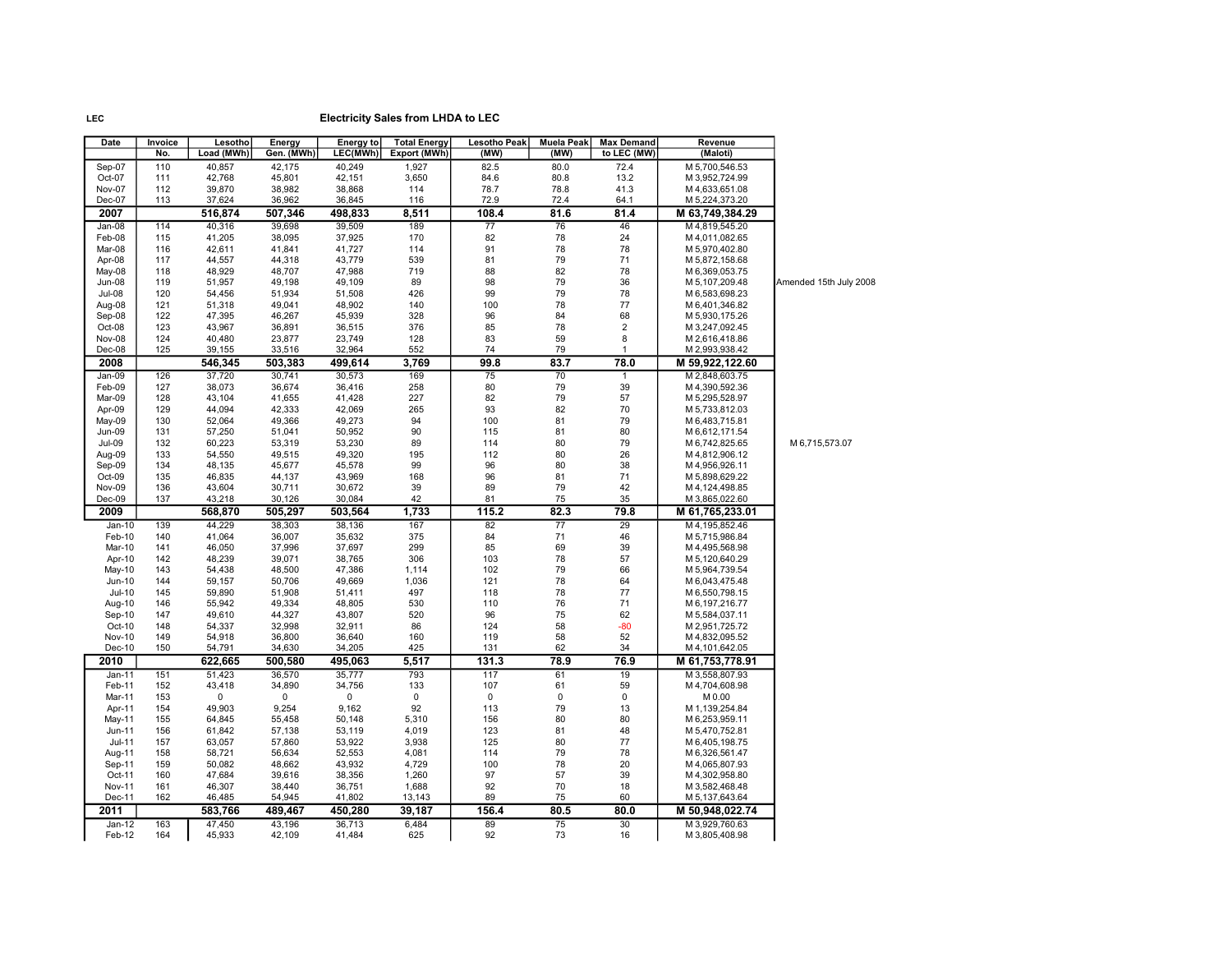| Date                    | Invoice    | Lesotho          | Energy           | <b>Energy to</b> | <b>Total Energy</b> | <b>Lesotho Peak</b> | <b>Muela Peak</b> | <b>Max Demand</b> | Revenue                            |                        |
|-------------------------|------------|------------------|------------------|------------------|---------------------|---------------------|-------------------|-------------------|------------------------------------|------------------------|
|                         | No.        | Load (MWh)       | Gen. (MWh)       | LEC(MWh)         | Export (MWh)        | (MW)                | (MW)              | to LEC (MW)       | (Maloti)                           |                        |
| Sep-07                  | 110        | 40,857           | 42,175           | 40,249           | 1,927               | 82.5                | 80.0              | 72.4              | M 5,700,546.53                     |                        |
| Oct-07                  | 111        | 42,768           | 45,801           | 42,151           | 3,650               | 84.6                | 80.8              | 13.2              | M 3,952,724.99                     |                        |
| Nov-07                  | 112        | 39,870           | 38,982           | 38,868           | 114                 | 78.7                | 78.8              | 41.3              | M4,633,651.08                      |                        |
| Dec-07                  | 113        | 37,624           | 36,962           | 36,845           | 116                 | 72.9                | 72.4              | 64.1              | M 5,224,373.20                     |                        |
| 2007                    |            | 516.874          | 507,346          | 498,833          | 8,511               | 108.4               | 81.6              | 81.4              | M 63,749,384.29                    |                        |
| Jan-08                  | 114        | 40,316           | 39,698           | 39,509           | 189                 | 77                  | 76                | 46                | M4,819,545.20                      |                        |
| Feb-08                  | 115        | 41,205           | 38,095           | 37,925           | 170                 | 82                  | 78                | 24                | M 4,011,082.65                     |                        |
| Mar-08                  | 116        | 42,611           | 41,841           | 41,727           | 114                 | 91                  | 78                | 78                | M 5,970,402.80                     |                        |
| Apr-08                  | 117        | 44,557           | 44,318           | 43,779           | 539                 | 81                  | 79                | 71                | M 5,872,158.68                     |                        |
| May-08                  | 118        | 48,929           | 48,707           | 47,988           | 719                 | 88                  | 82                | 78                | M 6,369,053.75                     |                        |
| Jun-08                  | 119        | 51,957           | 49,198           | 49,109           | 89                  | 98                  | 79                | 36                | M 5,107,209.48                     | Amended 15th July 2008 |
| <b>Jul-08</b>           | 120        | 54,456           | 51,934           | 51,508           | 426                 | 99                  | 79                | 78                | M 6,583,698.23                     |                        |
| Aug-08                  | 121        | 51,318           | 49,041           | 48,902           | 140                 | 100                 | 78                | 77                | M 6,401,346.82                     |                        |
| Sep-08                  | 122        | 47,395           | 46,267           | 45,939           | 328                 | 96                  | 84                | 68                | M 5,930,175.26                     |                        |
| Oct-08                  | 123        | 43,967           | 36,891           | 36,515           | 376                 | 85                  | 78                | 2                 | M 3,247,092.45                     |                        |
| Nov-08                  | 124        | 40,480           | 23,877           | 23,749           | 128                 | 83                  | 59                | 8                 | M 2,616,418.86                     |                        |
| Dec-08                  | 125        | 39,155           | 33,516           | 32,964           | 552                 | 74                  | 79                | $\mathbf{1}$      | M 2,993,938.42                     |                        |
| 2008                    |            | 546,345          | 503,383          | 499,614          | 3,769               | 99.8                | 83.7              | 78.0              | M 59,922,122.60                    |                        |
| Jan-09                  | 126        | 37,720           | 30,741           | 30,573           | 169                 | 75                  | 70                | $\mathbf{1}$      | M 2,848,603.75                     |                        |
| Feb-09                  | 127        | 38,073           | 36,674           | 36,416           | 258                 | 80                  | 79                | 39                | M 4,390,592.36                     |                        |
| Mar-09                  | 128        | 43,104           | 41,655           | 41,428           | 227                 | 82                  | 79                | 57                | M 5,295,528.97                     |                        |
| Apr-09                  | 129        | 44,094           | 42,333           | 42,069           | 265                 | 93                  | 82                | 70                | M 5,733,812.03                     |                        |
| May-09                  | 130        | 52,064           | 49,366           | 49,273           | 94                  | 100                 | 81                | 79                | M 6,483,715.81                     |                        |
| Jun-09                  | 131        | 57,250           | 51,041           | 50,952           | 90                  | 115                 | 81                | 80                | M 6,612,171.54                     |                        |
| Jul-09                  | 132        | 60,223           | 53,319           | 53,230           | 89                  | 114                 | 80                | 79                | M 6,742,825.65                     | M 6,715,573.07         |
| Aug-09                  | 133        | 54,550           | 49,515           | 49,320           | 195                 | 112                 | 80                | 26                | M 4,812,906.12                     |                        |
| Sep-09                  | 134        | 48,135           | 45,677           | 45,578           | 99                  | 96                  | 80                | 38                | M 4,956,926.11                     |                        |
| Oct-09                  | 135        | 46,835           | 44,137           | 43,969           | 168                 | 96                  | 81                | 71                | M 5,898,629.22                     |                        |
| <b>Nov-09</b>           | 136        | 43,604           | 30,711           | 30,672           | 39                  | 89                  | 79                | 42                | M 4, 124, 498.85                   |                        |
| $Dec-09$                | 137        | 43,218           | 30,126           | 30,084           | 42                  | 81                  | 75                | 35                | M 3,865,022.60                     |                        |
| 2009                    |            | 568,870          | 505,297          | 503,564          | 1,733               | 115.2               | 82.3              | 79.8              | M 61,765,233.01                    |                        |
| $Jan-10$                | 139        | 44,229           | 38.303           | 38,136           | 167                 | 82                  | $\overline{77}$   | 29                | M 4.195.852.46                     |                        |
| Feb-10                  | 140        | 41,064           | 36,007           | 35,632           | 375                 | 84                  | 71                | 46                | M 5,715,986.84                     |                        |
| Mar-10                  | 141        | 46,050           | 37,996           | 37,697           | 299                 | 85                  | 69                | 39                | M 4,495,568.98                     |                        |
| Apr-10                  | 142        | 48,239           | 39,071           | 38,765           | 306                 | 103                 | 78                | 57                | M 5,120,640.29                     |                        |
| May-10                  | 143        | 54,438           | 48,500           | 47,386           | 1,114               | 102                 | 79                | 66                | M 5,964,739.54                     |                        |
| Jun-10                  | 144        | 59,157           | 50,706           | 49,669           | 1,036               | 121                 | 78                | 64                | M 6,043,475.48                     |                        |
| $Jul-10$                | 145        | 59,890           | 51,908           | 51,411           | 497                 | 118                 | 78                | 77                | M 6,550,798.15                     |                        |
| Aug-10                  | 146        | 55,942           | 49,334           | 48,805           | 530                 | 110                 | 76                | 71                | M 6, 197, 216.77                   |                        |
| Sep-10                  | 147        | 49,610           | 44,327           | 43,807           | 520                 | 96                  | 75                | 62                | M 5,584,037.11                     |                        |
| Oct-10                  | 148        | 54,337           | 32,998           | 32,911           | 86                  | 124                 | 58                | -80               | M 2,951,725.72                     |                        |
| <b>Nov-10</b><br>Dec-10 | 149<br>150 | 54,918<br>54,791 | 36,800<br>34,630 | 36,640<br>34,205 | 160<br>425          | 119<br>131          | 58<br>62          | 52<br>34          | M 4,832,095.52<br>M 4, 101, 642.05 |                        |
|                         |            |                  |                  |                  | 5,517               |                     |                   |                   |                                    |                        |
| 2010                    |            | 622,665          | 500,580          | 495,063          |                     | 131.3               | 78.9              | 76.9              | M 61,753,778.91                    |                        |
| Jan-11                  | 151        | 51,423           | 36,570           | 35,777           | 793                 | 117                 | 61                | 19                | M 3,558,807.93                     |                        |
| Feb-11                  | 152        | 43,418           | 34,890           | 34,756           | 133                 | 107                 | 61                | 59                | M 4,704,608.98                     |                        |
| Mar-11                  | 153        | 0                | $\mathbf 0$      | $\pmb{0}$        | $\mathbf 0$         | $\mathbf 0$         | 0                 | 0                 | M 0.00                             |                        |
| Apr-11                  | 154        | 49,903           | 9,254            | 9,162            | 92                  | 113                 | 79                | 13                | M 1,139,254.84                     |                        |
| May-11                  | 155        | 64,845           | 55,458           | 50,148           | 5,310               | 156                 | 80                | 80                | M 6,253,959.11                     |                        |
| Jun-11                  | 156        | 61,842           | 57,138           | 53,119           | 4,019               | 123                 | 81                | 48                | M 5,470,752.81                     |                        |
| $Jul-11$                | 157        | 63,057           | 57,860           | 53,922           | 3,938               | 125<br>114          | 80                | 77<br>78          | M 6,405,198.75                     |                        |
| Aug-11                  | 158        | 58,721           | 56,634           | 52,553           | 4,081               |                     | 79                |                   | M 6,326,561.47                     |                        |
| Sep-11                  | 159        | 50,082           | 48,662           | 43,932           | 4,729               | 100                 | 78                | 20<br>39          | M 4,065,807.93                     |                        |
| Oct-11<br><b>Nov-11</b> | 160        | 47,684<br>46,307 | 39,616<br>38,440 | 38,356           | 1,260<br>1,688      | 97<br>92            | 57<br>70          | 18                | M 4,302,958.80                     |                        |
| Dec-11                  | 161<br>162 | 46,485           | 54,945           | 36,751<br>41,802 | 13,143              | 89                  | 75                | 60                | M 3,582,468.48<br>M 5,137,643.64   |                        |
|                         |            |                  |                  |                  |                     |                     | 80.5              | 80.0              |                                    |                        |
| 2011                    |            | 583,766          | 489,467          | 450,280          | 39,187              | 156.4               |                   |                   | M 50,948,022.74                    |                        |
| Jan-12                  | 163        | 47,450           | 43,196           | 36,713           | 6,484               | 89                  | 75                | 30                | M 3,929,760.63                     |                        |
| Feb-12                  | 164        | 45.933           | 42,109           | 41,484           | 625                 | 92                  | 73                | 16                | M 3,805,408.98                     |                        |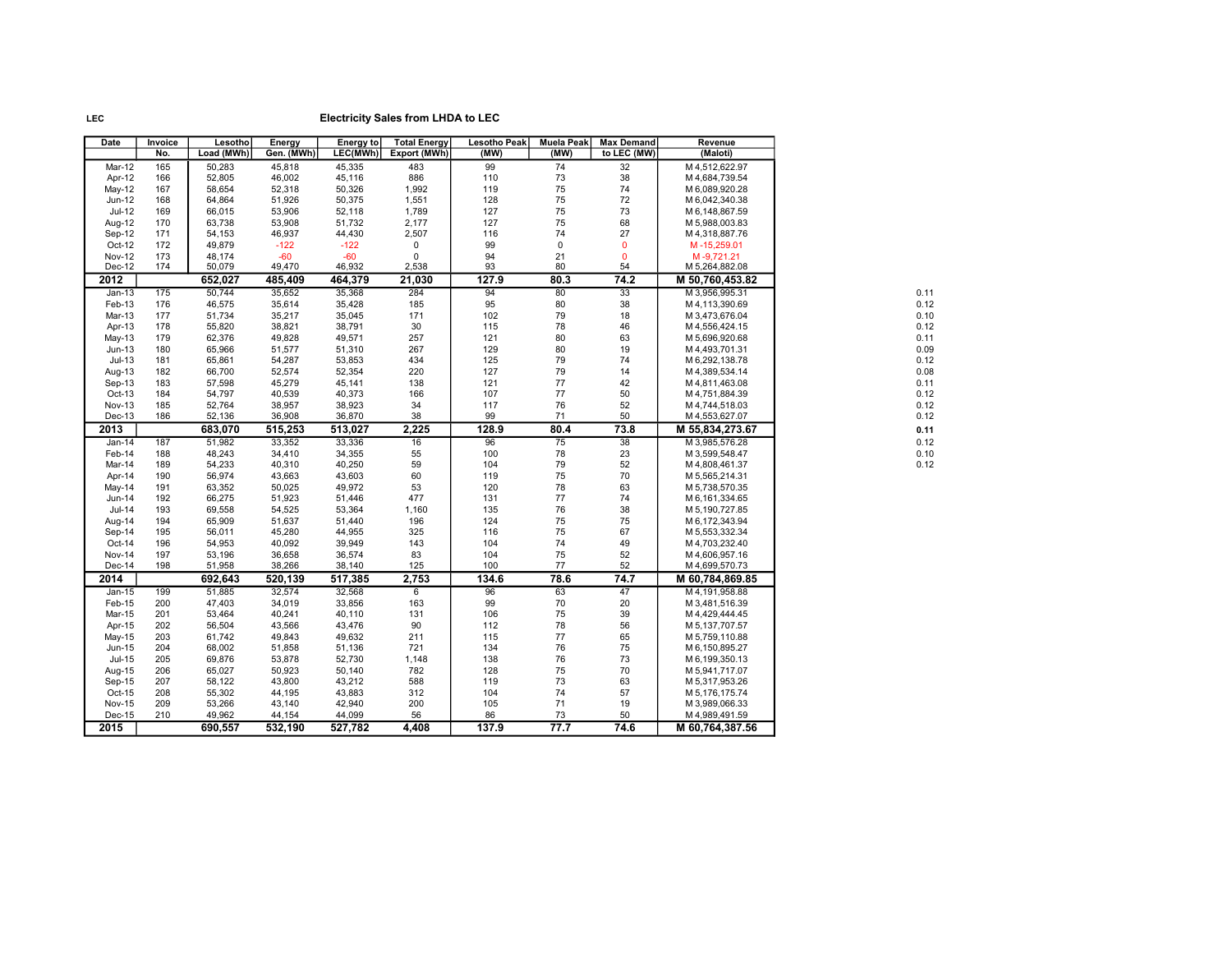| Date          | Invoice | Lesotho    | Energy     | <b>Energy to</b> | <b>Total Energy</b> | <b>Lesotho Peak</b> | <b>Muela Peak</b> | <b>Max Demand</b> | Revenue          |
|---------------|---------|------------|------------|------------------|---------------------|---------------------|-------------------|-------------------|------------------|
|               | No.     | Load (MWh) | Gen. (MWh) | LEC(MWh)         | Export (MWh)        | (MW)                | (MW)              | to LEC (MW)       | (Maloti)         |
| Mar-12        | 165     | 50,283     | 45,818     | 45,335           | 483                 | 99                  | 74                | 32                | M 4,512,622.97   |
| Apr-12        | 166     | 52.805     | 46,002     | 45,116           | 886                 | 110                 | 73                | 38                | M 4,684,739.54   |
| May-12        | 167     | 58,654     | 52,318     | 50,326           | 1,992               | 119                 | 75                | 74                | M 6,089,920.28   |
| Jun-12        | 168     | 64,864     | 51,926     | 50,375           | 1,551               | 128                 | 75                | 72                | M 6,042,340.38   |
| Jul-12        | 169     | 66,015     | 53,906     | 52,118           | 1,789               | 127                 | 75                | 73                | M 6,148,867.59   |
| Aug-12        | 170     | 63,738     | 53,908     | 51,732           | 2,177               | 127                 | 75                | 68                | M 5,988,003.83   |
| Sep-12        | 171     | 54,153     | 46,937     | 44,430           | 2,507               | 116                 | 74                | 27                | M 4,318,887.76   |
| Oct-12        | 172     | 49,879     | $-122$     | $-122$           | $\pmb{0}$           | 99                  | 0                 | $\mathbf 0$       | M-15,259.01      |
| <b>Nov-12</b> | 173     | 48,174     | $-60$      | $-60$            | $\pmb{0}$           | 94                  | 21                | $\mathbf 0$       | M-9,721.21       |
| Dec-12        | 174     | 50,079     | 49,470     | 46,932           | 2,538               | 93                  | 80                | 54                | M 5,264,882.08   |
| 2012          |         | 652,027    | 485,409    | 464,379          | 21,030              | 127.9               | 80.3              | 74.2              | M 50,760,453.82  |
| $Jan-13$      | 175     | 50,744     | 35,652     | 35,368           | 284                 | 94                  | 80                | 33                | M 3,956,995.31   |
| Feb-13        | 176     | 46,575     | 35,614     | 35,428           | 185                 | 95                  | 80                | 38                | M 4, 113, 390.69 |
| Mar-13        | 177     | 51,734     | 35,217     | 35,045           | 171                 | 102                 | 79                | 18                | M 3,473,676.04   |
| Apr-13        | 178     | 55,820     | 38,821     | 38,791           | 30                  | 115                 | 78                | 46                | M 4,556,424.15   |
| May-13        | 179     | 62,376     | 49,828     | 49,571           | 257                 | 121                 | 80                | 63                | M 5,696,920.68   |
| $Jun-13$      | 180     | 65,966     | 51,577     | 51,310           | 267                 | 129                 | 80                | 19                | M 4,493,701.31   |
| $Jul-13$      | 181     | 65,861     | 54,287     | 53,853           | 434                 | 125                 | 79                | 74                | M 6,292,138.78   |
| Aug-13        | 182     | 66,700     | 52,574     | 52,354           | 220                 | 127                 | 79                | 14                | M 4,389,534.14   |
| Sep-13        | 183     | 57,598     | 45,279     | 45,141           | 138                 | 121                 | 77                | 42                | M4,811,463.08    |
| Oct-13        | 184     | 54,797     | 40,539     | 40,373           | 166                 | 107                 | 77                | 50                | M 4,751,884.39   |
| <b>Nov-13</b> | 185     | 52,764     | 38,957     | 38,923           | 34                  | 117                 | 76                | 52                | M 4,744,518.03   |
| Dec-13        | 186     | 52,136     | 36,908     | 36,870           | 38                  | 99                  | 71                | 50                | M 4,553,627.07   |
| 2013          |         | 683,070    | 515,253    | 513,027          | 2,225               | 128.9               | 80.4              | 73.8              | M 55,834,273.67  |
| Jan-14        | 187     | 51,982     | 33,352     | 33,336           | 16                  | 96                  | 75                | 38                | M 3,985,576.28   |
| Feb-14        | 188     | 48,243     | 34,410     | 34,355           | 55                  | 100                 | 78                | 23                | M 3,599,548.47   |
| Mar-14        | 189     | 54,233     | 40,310     | 40,250           | 59                  | 104                 | 79                | 52                | M4,808,461.37    |
| Apr-14        | 190     | 56,974     | 43,663     | 43,603           | 60                  | 119                 | 75                | 70                | M 5,565,214.31   |
| May-14        | 191     | 63,352     | 50,025     | 49,972           | 53                  | 120                 | 78                | 63                | M 5,738,570.35   |
| Jun-14        | 192     | 66,275     | 51,923     | 51,446           | 477                 | 131                 | 77                | 74                | M 6, 161, 334.65 |
| Jul-14        | 193     | 69,558     | 54,525     | 53,364           | 1,160               | 135                 | 76                | 38                | M 5,190,727.85   |
| Aug-14        | 194     | 65,909     | 51,637     | 51,440           | 196                 | 124                 | 75                | 75                | M 6, 172, 343.94 |
| Sep-14        | 195     | 56,011     | 45,280     | 44,955           | 325                 | 116                 | 75                | 67                | M 5,553,332.34   |
| Oct-14        | 196     | 54,953     | 40,092     | 39,949           | 143                 | 104                 | 74                | 49                | M 4,703,232.40   |
| <b>Nov-14</b> | 197     | 53,196     | 36,658     | 36,574           | 83                  | 104                 | 75                | 52                | M4,606,957.16    |
| Dec-14        | 198     | 51,958     | 38,266     | 38,140           | 125                 | 100                 | 77                | 52                | M4,699,570.73    |
| 2014          |         | 692,643    | 520,139    | 517,385          | 2,753               | 134.6               | 78.6              | 74.7              | M 60,784,869.85  |
| $Jan-15$      | 199     | 51,885     | 32,574     | 32,568           | 6                   | 96                  | 63                | 47                | M 4, 191, 958.88 |
| Feb-15        | 200     | 47,403     | 34,019     | 33,856           | 163                 | 99                  | $70\,$            | 20                | M 3,481,516.39   |
| Mar-15        | 201     | 53,464     | 40,241     | 40,110           | 131                 | 106                 | 75                | 39                | M 4,429,444.45   |
| Apr-15        | 202     | 56,504     | 43,566     | 43,476           | 90                  | 112                 | 78                | 56                | M 5, 137, 707.57 |
| May-15        | 203     | 61,742     | 49,843     | 49,632           | 211                 | 115                 | 77                | 65                | M 5,759,110.88   |
| Jun-15        | 204     | 68,002     | 51,858     | 51,136           | 721                 | 134                 | 76                | 75                | M 6,150,895.27   |
| <b>Jul-15</b> | 205     | 69,876     | 53,878     | 52,730           | 1,148               | 138                 | 76                | 73                | M 6,199,350.13   |
| Aug-15        | 206     | 65,027     | 50,923     | 50,140           | 782                 | 128                 | 75                | 70                | M 5,941,717.07   |
| Sep-15        | 207     | 58,122     | 43,800     | 43,212           | 588                 | 119                 | 73                | 63                | M 5,317,953.26   |
| Oct-15        | 208     | 55,302     | 44,195     | 43,883           | 312                 | 104                 | 74                | 57                | M 5,176,175.74   |
| <b>Nov-15</b> | 209     | 53,266     | 43,140     | 42,940           | 200                 | 105                 | 71                | 19                | M 3,989,066.33   |
| Dec-15        | 210     | 49,962     | 44,154     | 44,099           | 56                  | 86                  | 73                | 50                | M 4,989,491.59   |
| 2015          |         | 690,557    | 532,190    | 527,782          | 4,408               | 137.9               | 77.7              | 74.6              | M 60,764,387.56  |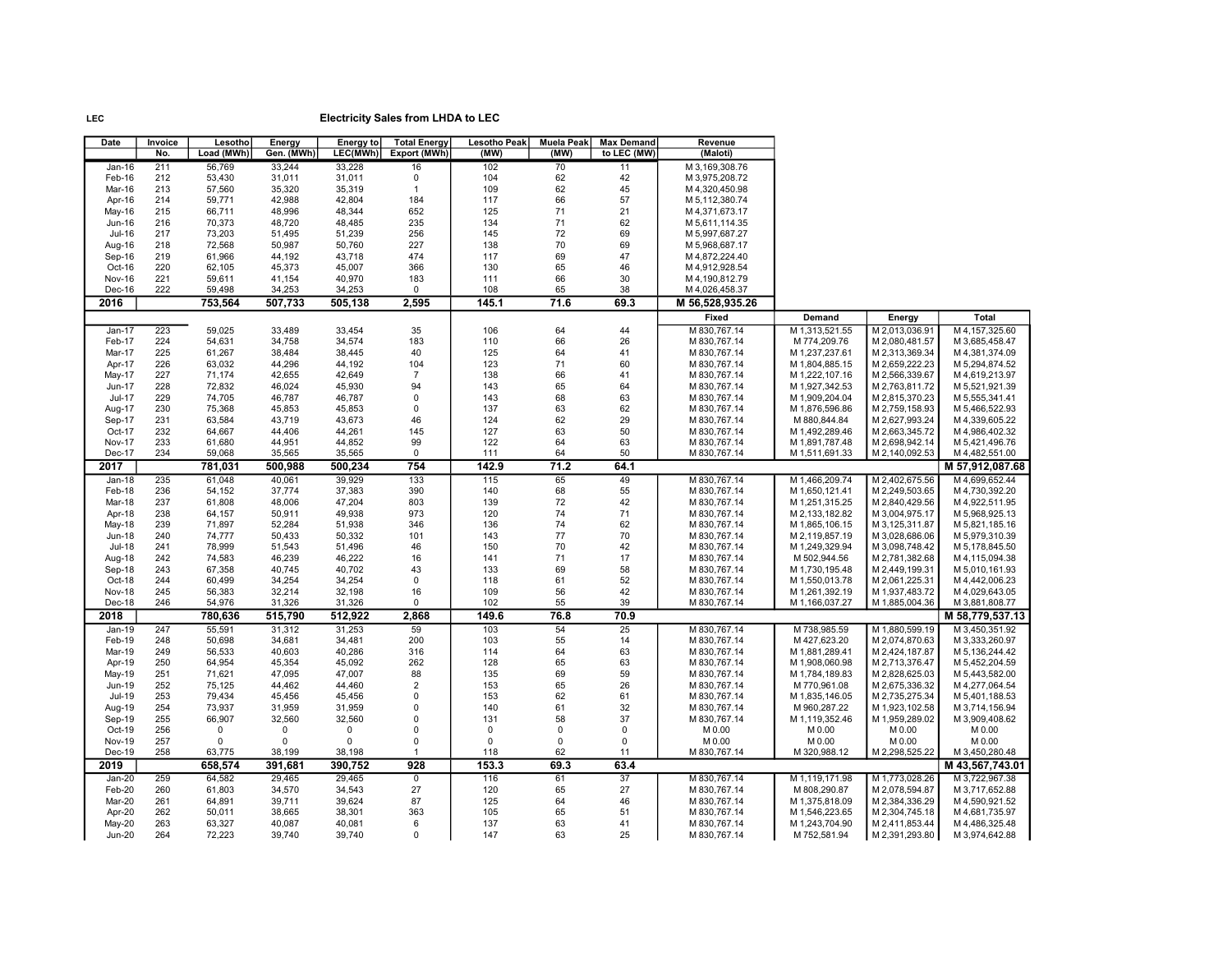| Date                           | Invoice<br>No. | Lesotho<br>Load (MWh) | Energy<br>Gen. (MWh) | Energy to<br>LEC(MWh) | <b>Total Energy</b><br>Export (MWh) | Lesotho Peak<br>(MW) | <b>Muela Peak</b><br>(MW) | <b>Max Demand</b><br>to LEC (MW) | Revenue<br>(Maloti)              |                                  |                                  |                                  |
|--------------------------------|----------------|-----------------------|----------------------|-----------------------|-------------------------------------|----------------------|---------------------------|----------------------------------|----------------------------------|----------------------------------|----------------------------------|----------------------------------|
| $Jan-16$                       | 211            | 56,769                | 33,244               | 33,228                | 16                                  | 102                  | 70                        | 11                               | M 3,169,308.76                   |                                  |                                  |                                  |
| Feb-16                         | 212            | 53,430                | 31,011               | 31,011                | 0                                   | 104                  | 62                        | 42                               | M 3,975,208.72                   |                                  |                                  |                                  |
| Mar-16                         | 213            | 57,560                | 35,320               | 35,319                | $\mathbf{1}$                        | 109                  | 62                        | 45                               | M4,320,450.98                    |                                  |                                  |                                  |
| Apr-16                         | 214            | 59,771                | 42,988               | 42,804                | 184                                 | 117                  | 66                        | 57                               | M 5,112,380.74                   |                                  |                                  |                                  |
| May-16                         | 215            | 66,711                | 48,996               | 48,344                | 652                                 | 125                  | 71                        | 21                               | M4,371,673.17                    |                                  |                                  |                                  |
| <b>Jun-16</b><br>Jul-16        | 216<br>217     | 70,373<br>73,203      | 48,720<br>51,495     | 48,485<br>51,239      | 235<br>256                          | 134<br>145           | 71<br>72                  | 62<br>69                         | M 5,611,114.35<br>M 5,997,687.27 |                                  |                                  |                                  |
| Aug-16                         | 218            | 72,568                | 50,987               | 50,760                | 227                                 | 138                  | 70                        | 69                               | M 5,968,687.17                   |                                  |                                  |                                  |
| Sep-16                         | 219            | 61,966                | 44,192               | 43,718                | 474                                 | 117                  | 69                        | 47                               | M 4,872,224.40                   |                                  |                                  |                                  |
| Oct-16                         | 220            | 62,105                | 45,373               | 45,007                | 366                                 | 130                  | 65                        | 46                               | M 4,912,928.54                   |                                  |                                  |                                  |
| Nov-16                         | 221            | 59,611                | 41,154               | 40,970                | 183                                 | 111                  | 66                        | 30                               | M4,190,812.79                    |                                  |                                  |                                  |
| Dec-16                         | 222            | 59,498                | 34,253               | 34,253                | 0                                   | 108                  | 65                        | 38                               | M 4,026,458.37                   |                                  |                                  |                                  |
| 2016                           |                | 753,564               | 507,733              | 505,138               | 2,595                               | 145.1                | 71.6                      | 69.3                             | M 56,528,935.26                  |                                  |                                  |                                  |
|                                |                |                       |                      |                       |                                     |                      |                           |                                  | Fixed                            | Demand                           | Energy                           | Total                            |
| Jan-17                         | 223            | 59,025                | 33,489               | 33,454                | 35                                  | 106                  | 64                        | 44                               | M 830,767.14                     | M 1,313,521.55                   | M 2,013,036.91                   | M 4, 157, 325.60                 |
| Feb-17                         | 224            | 54,631                | 34,758               | 34,574                | 183                                 | 110                  | 66                        | 26                               | M 830,767.14                     | M 774,209.76                     | M 2,080,481.57                   | M 3,685,458.47                   |
| Mar-17                         | 225            | 61,267                | 38,484               | 38,445                | 40                                  | 125                  | 64                        | 41                               | M 830,767.14                     | M 1,237,237.61                   | M 2,313,369.34                   | M 4,381,374.09                   |
| Apr-17                         | 226            | 63,032                | 44,296               | 44,192                | 104                                 | 123                  | 71                        | 60                               | M 830,767.14                     | M 1,804,885.15                   | M 2,659,222.23                   | M 5,294,874.52                   |
| May-17                         | 227            | 71,174                | 42,655               | 42,649                | $\overline{7}$                      | 138                  | 66                        | 41                               | M 830,767.14                     | M 1,222,107.16                   | M 2,566,339.67                   | M 4,619,213.97                   |
| <b>Jun-17</b>                  | 228            | 72,832                | 46,024               | 45,930                | 94<br>0                             | 143                  | 65<br>68                  | 64                               | M 830,767.14                     | M 1,927,342.53                   | M 2,763,811.72                   | M 5,521,921.39                   |
| <b>Jul-17</b>                  | 229<br>230     | 74,705<br>75,368      | 46,787<br>45,853     | 46,787<br>45,853      | 0                                   | 143<br>137           | 63                        | 63<br>62                         | M 830,767.14<br>M 830,767.14     | M 1,909,204.04<br>M 1,876,596.86 | M 2,815,370.23<br>M 2,759,158.93 | M 5,555,341.41<br>M 5,466,522.93 |
| Aug-17<br>Sep-17               | 231            | 63,584                | 43,719               | 43,673                | 46                                  | 124                  | 62                        | 29                               | M 830,767.14                     | M 880,844.84                     | M 2,627,993.24                   | M 4,339,605.22                   |
| Oct-17                         | 232            | 64,667                | 44,406               | 44,261                | 145                                 | 127                  | 63                        | 50                               | M 830,767.14                     | M 1,492,289.46                   | M 2,663,345.72                   | M 4,986,402.32                   |
| <b>Nov-17</b>                  | 233            | 61,680                | 44,951               | 44,852                | 99                                  | 122                  | 64                        | 63                               | M 830,767.14                     | M 1,891,787.48                   | M 2,698,942.14                   | M 5,421,496.76                   |
| Dec-17                         | 234            | 59,068                | 35,565               | 35,565                | $\mathbf 0$                         | 111                  | 64                        | 50                               | M 830,767.14                     | M 1,511,691.33                   | M 2,140,092.53                   | M 4,482,551.00                   |
| 2017                           |                | 781,031               | 500,988              | 500,234               | 754                                 | 142.9                | 71.2                      | 64.1                             |                                  |                                  |                                  | M 57,912,087.68                  |
| $Jan-18$                       | 235            | 61,048                | 40,061               | 39,929                | 133                                 | 115                  | 65                        | 49                               | M 830,767.14                     | M 1,466,209.74                   | M 2,402,675.56                   | M 4,699,652.44                   |
| Feb-18                         | 236            | 54,152                | 37,774               | 37,383                | 390                                 | 140                  | 68                        | 55                               | M 830,767.14                     | M 1,650,121.41                   | M 2,249,503.65                   | M 4,730,392.20                   |
| Mar-18                         | 237            | 61,808                | 48,006               | 47,204                | 803                                 | 139                  | 72                        | 42                               | M 830,767.14                     | M 1,251,315.25                   | M 2,840,429.56                   | M 4,922,511.95                   |
| Apr-18                         | 238            | 64,157                | 50,911               | 49,938                | 973                                 | 120                  | 74                        | 71                               | M 830,767.14                     | M 2,133,182.82                   | M 3,004,975.17                   | M 5,968,925.13                   |
| May-18                         | 239            | 71,897                | 52,284               | 51,938                | 346                                 | 136                  | 74                        | 62                               | M 830,767.14                     | M 1,865,106.15                   | M 3,125,311.87                   | M 5,821,185.16                   |
| <b>Jun-18</b><br><b>Jul-18</b> | 240<br>241     | 74,777<br>78,999      | 50,433<br>51,543     | 50,332<br>51,496      | 101<br>46                           | 143<br>150           | 77<br>70                  | 70<br>42                         | M 830,767.14<br>M 830,767.14     | M 2,119,857.19<br>M 1,249,329.94 | M 3,028,686.06<br>M 3,098,748.42 | M 5,979,310.39<br>M 5,178,845.50 |
| Aug-18                         | 242            | 74,583                | 46,239               | 46,222                | 16                                  | 141                  | 71                        | 17                               | M 830,767.14                     | M 502,944.56                     | M 2,781,382.68                   | M 4,115,094.38                   |
| Sep-18                         | 243            | 67,358                | 40,745               | 40,702                | 43                                  | 133                  | 69                        | 58                               | M 830,767.14                     | M 1,730,195.48                   | M 2,449,199.31                   | M 5,010,161.93                   |
| Oct-18                         | 244            | 60,499                | 34,254               | 34,254                | $\Omega$                            | 118                  | 61                        | 52                               | M 830,767.14                     | M 1,550,013.78                   | M 2,061,225.31                   | M 4,442,006.23                   |
| <b>Nov-18</b>                  | 245            | 56,383                | 32,214               | 32,198                | 16                                  | 109                  | 56                        | 42                               | M 830,767.14                     | M 1,261,392.19                   | M 1,937,483.72                   | M 4,029,643.05                   |
| Dec-18                         | 246            | 54,976                | 31,326               | 31,326                | 0                                   | 102                  | 55                        | 39                               | M 830,767.14                     | M 1,166,037.27                   | M 1,885,004.36                   | M 3,881,808.77                   |
| 2018                           |                | 780,636               | 515,790              | 512,922               | 2,868                               | 149.6                | 76.8                      | 70.9                             |                                  |                                  |                                  | M 58,779,537.13                  |
| $Jan-19$                       | 247            | 55,591                | 31,312               | 31,253                | 59                                  | 103                  | 54                        | 25                               | M 830,767.14                     | M 738,985.59                     | M 1,880,599.19                   | M 3,450,351.92                   |
| Feb-19                         | 248            | 50,698                | 34,681               | 34,481                | 200                                 | 103                  | 55                        | 14                               | M 830,767.14                     | M 427,623.20                     | M 2,074,870.63                   | M 3,333,260.97                   |
| Mar-19                         | 249            | 56,533                | 40,603               | 40,286                | 316                                 | 114                  | 64                        | 63                               | M 830,767.14                     | M 1,881,289.41                   | M 2,424,187.87                   | M 5,136,244.42                   |
| Apr-19                         | 250            | 64,954                | 45,354               | 45,092                | 262                                 | 128                  | 65                        | 63                               | M 830,767.14                     | M 1,908,060.98                   | M 2,713,376.47                   | M 5,452,204.59                   |
| May-19<br><b>Jun-19</b>        | 251<br>252     | 71,621<br>75,125      | 47,095<br>44,462     | 47,007<br>44,460      | 88<br>2                             | 135<br>153           | 69<br>65                  | 59<br>26                         | M 830,767.14<br>M 830,767.14     | M 1,784,189.83<br>M 770,961.08   | M 2,828,625.03<br>M 2,675,336.32 | M 5,443,582.00                   |
| Jul-19                         | 253            | 79,434                | 45,456               | 45,456                | 0                                   | 153                  | 62                        | 61                               | M 830,767.14                     | M 1,835,146.05                   | M 2,735,275.34                   | M 4,277,064.54<br>M 5,401,188.53 |
| Aug-19                         | 254            | 73,937                | 31,959               | 31,959                | $\Omega$                            | 140                  | 61                        | 32                               | M 830,767.14                     | M 960,287.22                     | M 1,923,102.58                   | M 3,714,156.94                   |
| Sep-19                         | 255            | 66,907                | 32,560               | 32,560                | $\Omega$                            | 131                  | 58                        | 37                               | M 830,767.14                     | M 1,119,352.46                   | M 1,959,289.02                   | M 3,909,408.62                   |
| Oct-19                         | 256            | 0                     | 0                    | 0                     | $\Omega$                            | 0                    | 0                         | 0                                | M 0.00                           | M 0.00                           | M 0.00                           | M 0.00                           |
| <b>Nov-19</b>                  | 257            | $\Omega$              | $\Omega$             | $\Omega$              | $\Omega$                            | $\mathbf 0$          | $\mathbf 0$               | $\Omega$                         | M 0.00                           | M 0.00                           | M 0.00                           | M 0.00                           |
| Dec-19                         | 258            | 63,775                | 38,199               | 38,198                | $\mathbf{1}$                        | 118                  | 62                        | 11                               | M 830,767.14                     | M 320,988.12                     | M 2,298,525.22                   | M 3,450,280.48                   |
| 2019                           |                | 658,574               | 391,681              | 390,752               | 928                                 | 153.3                | 69.3                      | 63.4                             |                                  |                                  |                                  | M 43,567,743.01                  |
| $Jan-20$                       | 259            | 64,582                | 29,465               | 29,465                | $\overline{0}$                      | 116                  | 61                        | 37                               | M 830,767.14                     | M 1,119,171.98                   | M 1,773,028.26                   | M 3,722,967.38                   |
| Feb-20                         | 260            | 61,803                | 34,570               | 34,543                | 27                                  | 120                  | 65                        | 27                               | M 830,767.14                     | M 808,290.87                     | M 2,078,594.87                   | M 3,717,652.88                   |
| Mar-20                         | 261            | 64,891                | 39,711               | 39,624                | 87                                  | 125                  | 64                        | 46                               | M 830,767.14                     | M 1,375,818.09                   | M 2,384,336.29                   | M 4,590,921.52                   |
| Apr-20<br>May-20               | 262<br>263     | 50,011<br>63,327      | 38,665<br>40,087     | 38,301<br>40,081      | 363<br>6                            | 105<br>137           | 65<br>63                  | 51<br>41                         | M 830,767.14<br>M 830,767.14     | M 1,546,223.65<br>M 1,243,704.90 | M 2,304,745.18<br>M 2,411,853.44 | M 4,681,735.97<br>M 4,486,325.48 |
| <b>Jun-20</b>                  | 264            | 72,223                | 39,740               | 39.740                | $\Omega$                            | 147                  | 63                        | 25                               | M 830,767.14                     | M 752,581.94                     | M 2,391,293.80                   | M 3,974,642.88                   |